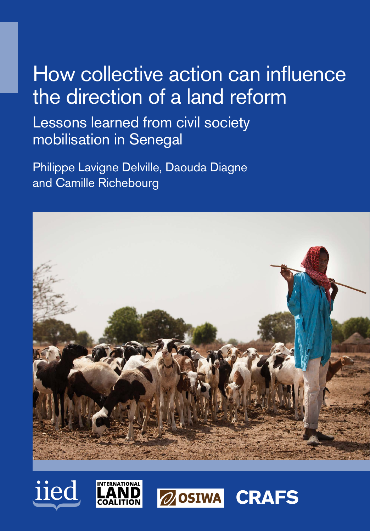# How collective action can influence the direction of a land reform

Lessons learned from civil society mobilisation in Senegal

Philippe Lavigne Delville, Daouda Diagne and Camille Richebourg







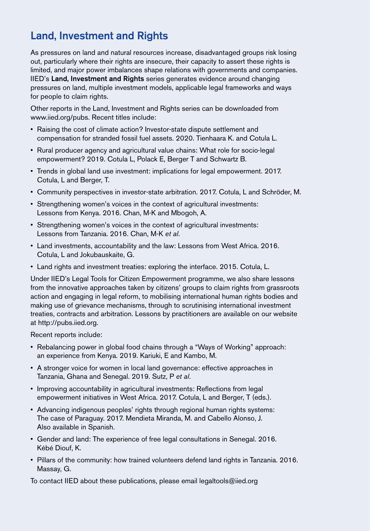# Land, Investment and Rights

As pressures on land and natural resources increase, disadvantaged groups risk losing out, particularly where their rights are insecure, their capacity to assert these rights is limited, and major power imbalances shape relations with governments and companies. IIED's Land, Investment and Rights series generates evidence around changing pressures on land, multiple investment models, applicable legal frameworks and ways for people to claim rights.

Other reports in the Land, Investment and Rights series can be downloaded from [www.iied.org/pubs.](http://www.iied.org/pubs) Recent titles include:

- Raising the cost of climate action? Investor-state dispute settlement and compensation for stranded fossil fuel assets. 2020. Tienhaara K. and Cotula L.
- Rural producer agency and agricultural value chains: What role for socio-legal empowerment? 2019. Cotula L, Polack E, Berger T and Schwartz B.
- Trends in global land use investment: implications for legal empowerment. 2017. Cotula, L and Berger, T.
- Community perspectives in investor-state arbitration. 2017. Cotula, L and Schröder, M.
- Strengthening women's voices in the context of agricultural investments: Lessons from Kenya. 2016. Chan, M-K and Mbogoh, A.
- Strengthening women's voices in the context of agricultural investments: Lessons from Tanzania. 2016. Chan, M-K *et al*.
- Land investments, accountability and the law: Lessons from West Africa. 2016. Cotula, L and Jokubauskaite, G.
- Land rights and investment treaties: exploring the interface. 2015. Cotula, L.

Under IIED's Legal Tools for Citizen Empowerment programme, we also share lessons from the innovative approaches taken by citizens' groups to claim rights from grassroots action and engaging in legal reform, to mobilising international human rights bodies and making use of grievance mechanisms, through to scrutinising international investment treaties, contracts and arbitration. Lessons by practitioners are available on our website at [http://pubs.iied.org.](http://pubs.iied.org)

Recent reports include:

- Rebalancing power in global food chains through a "Ways of Working" approach: an experience from Kenya. 2019. Kariuki, E and Kambo, M.
- A stronger voice for women in local land governance: effective approaches in Tanzania, Ghana and Senegal. 2019. Sutz, P *et al*.
- Improving accountability in agricultural investments: Reflections from legal empowerment initiatives in West Africa. 2017. Cotula, L and Berger, T (eds.).
- Advancing indigenous peoples' rights through regional human rights systems: The case of Paraguay. 2017. Mendieta Miranda, M. and Cabello Alonso, J. Also available in Spanish.
- Gender and land: The experience of free legal consultations in Senegal. 2016. Kébé Diouf, K.
- Pillars of the community: how trained volunteers defend land rights in Tanzania. 2016. Massay, G.

To contact IIED about these publications, please email [legaltools@iied.org](mailto:legaltools%40iied.org?subject=)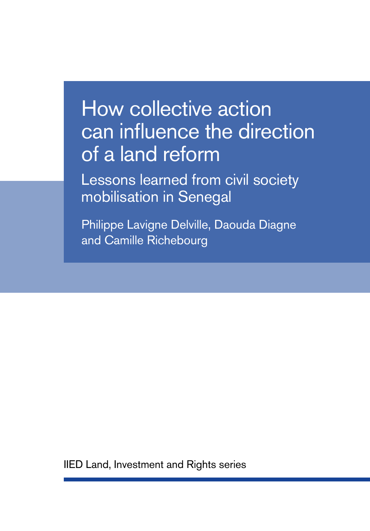# How collective action can influence the direction of a land reform

Lessons learned from civil society mobilisation in Senegal

Philippe Lavigne Delville, Daouda Diagne and Camille Richebourg

IIED Land, Investment and Rights series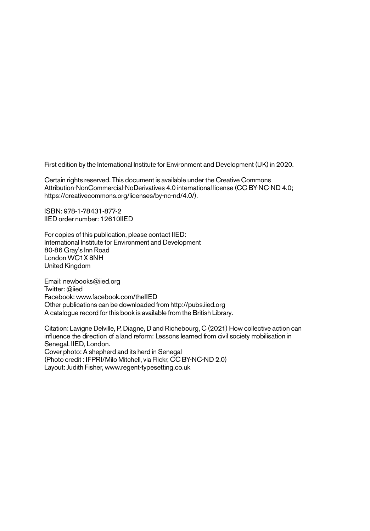First edition by the International Institute for Environment and Development (UK) in 2020.

Certain rights reserved. This document is available under the Creative Commons Attribution-NonCommercial-NoDerivatives 4.0 international license (CC BY-NC-ND 4.0; [https://creativecommons.org/licenses/by-nc-nd/4.0/\)](https://creativecommons.org/licenses/by-nc-nd/4.0/).

ISBN: 978-1-78431-877-2 IIED order number: 12610IIED

For copies of this publication, please contact IIED: International Institute for Environment and Development 80-86 Gray's Inn Road London WC1X 8NH United Kingdom

Email: [newbooks@iied.org](mailto:newbooks%40iied.org?subject=) Twitter: [@iied](https://twitter.com/iied) Facebook: [www.facebook.com/theIIED](http://www.facebook.com/theIIED) Other publications can be downloaded from<http://pubs.iied.org> A catalogue record for this book is available from the British Library.

Citation: Lavigne Delville, P, Diagne, D and Richebourg, C (2021) How collective action can influence the direction of a land reform: Lessons learned from civil society mobilisation in Senegal. IIED, London. Cover photo: A shepherd and its herd in Senegal (Photo credit : IFPRI/Milo Mitchell, via Flickr, CC BY-NC-ND 2.0) Layout: Judith Fisher, [www.regent-typesetting.co.uk](http://www.regent-typesetting.co.uk)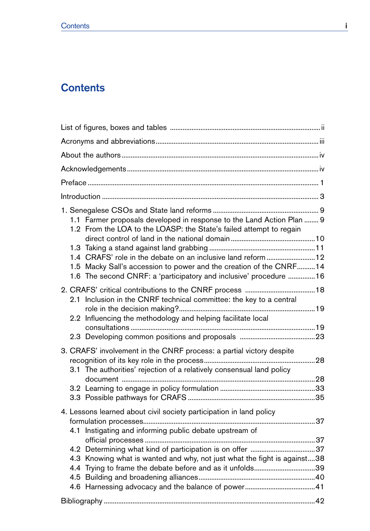# **Contents**

| 1.1 Farmer proposals developed in response to the Land Action Plan  9<br>1.2 From the LOA to the LOASP: the State's failed attempt to regain<br>1.4 CRAFS' role in the debate on an inclusive land reform  12<br>1.5 Macky Sall's accession to power and the creation of the CNRF14<br>1.6 The second CNRF: a 'participatory and inclusive' procedure 16 |  |  |  |
|----------------------------------------------------------------------------------------------------------------------------------------------------------------------------------------------------------------------------------------------------------------------------------------------------------------------------------------------------------|--|--|--|
| 2.1 Inclusion in the CNRF technical committee: the key to a central<br>2.2 Influencing the methodology and helping facilitate local                                                                                                                                                                                                                      |  |  |  |
|                                                                                                                                                                                                                                                                                                                                                          |  |  |  |
|                                                                                                                                                                                                                                                                                                                                                          |  |  |  |
| 3. CRAFS' involvement in the CNRF process: a partial victory despite                                                                                                                                                                                                                                                                                     |  |  |  |
| 3.1 The authorities' rejection of a relatively consensual land policy                                                                                                                                                                                                                                                                                    |  |  |  |
|                                                                                                                                                                                                                                                                                                                                                          |  |  |  |
|                                                                                                                                                                                                                                                                                                                                                          |  |  |  |
| 4. Lessons learned about civil society participation in land policy<br>4.1 Instigating and informing public debate upstream of                                                                                                                                                                                                                           |  |  |  |
|                                                                                                                                                                                                                                                                                                                                                          |  |  |  |
|                                                                                                                                                                                                                                                                                                                                                          |  |  |  |
| 4.3 Knowing what is wanted and why, not just what the fight is against38<br>4.4 Trying to frame the debate before and as it unfolds39                                                                                                                                                                                                                    |  |  |  |
|                                                                                                                                                                                                                                                                                                                                                          |  |  |  |
|                                                                                                                                                                                                                                                                                                                                                          |  |  |  |
|                                                                                                                                                                                                                                                                                                                                                          |  |  |  |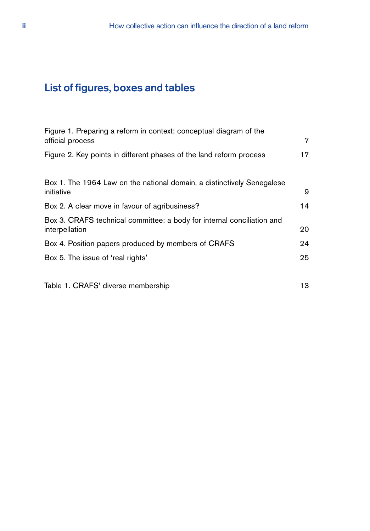# <span id="page-5-0"></span>List of figures, boxes and tables

| Figure 1. Preparing a reform in context: conceptual diagram of the                       | 7  |
|------------------------------------------------------------------------------------------|----|
| official process                                                                         |    |
| Figure 2. Key points in different phases of the land reform process                      | 17 |
| Box 1. The 1964 Law on the national domain, a distinctively Senegalese<br>initiative     | 9  |
| Box 2. A clear move in favour of agribusiness?                                           | 14 |
| Box 3. CRAFS technical committee: a body for internal conciliation and<br>interpellation | 20 |
| Box 4. Position papers produced by members of CRAFS                                      | 24 |
| Box 5. The issue of 'real rights'                                                        | 25 |
| Table 1. CRAFS' diverse membership                                                       | 13 |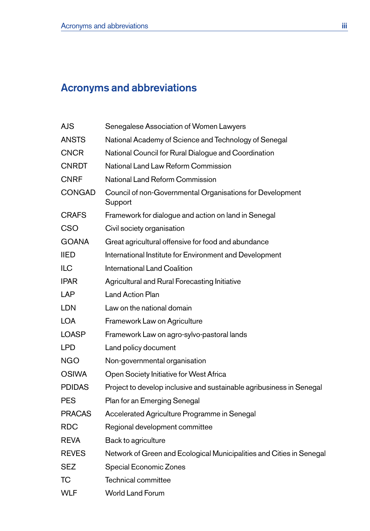# <span id="page-6-0"></span>Acronyms and abbreviations

| AJS           | Senegalese Association of Women Lawyers                              |
|---------------|----------------------------------------------------------------------|
| ANSTS         | National Academy of Science and Technology of Senegal                |
| <b>CNCR</b>   | National Council for Rural Dialogue and Coordination                 |
| <b>CNRDT</b>  | National Land Law Reform Commission                                  |
| <b>CNRF</b>   | National Land Reform Commission                                      |
| CONGAD        | Council of non-Governmental Organisations for Development<br>Support |
| <b>CRAFS</b>  | Framework for dialogue and action on land in Senegal                 |
| CSO           | Civil society organisation                                           |
| <b>GOANA</b>  | Great agricultural offensive for food and abundance                  |
| IIED          | International Institute for Environment and Development              |
| ILC           | International Land Coalition                                         |
| <b>IPAR</b>   | Agricultural and Rural Forecasting Initiative                        |
| LAP           | <b>Land Action Plan</b>                                              |
| <b>LDN</b>    | Law on the national domain                                           |
| <b>LOA</b>    | Framework Law on Agriculture                                         |
| <b>LOASP</b>  | Framework Law on agro-sylvo-pastoral lands                           |
| LPD           | Land policy document                                                 |
| <b>NGO</b>    | Non-governmental organisation                                        |
| <b>OSIWA</b>  | Open Society Initiative for West Africa                              |
| <b>PDIDAS</b> | Project to develop inclusive and sustainable agribusiness in Senegal |
| <b>PES</b>    | Plan for an Emerging Senegal                                         |
| <b>PRACAS</b> | Accelerated Agriculture Programme in Senegal                         |
| <b>RDC</b>    | Regional development committee                                       |
| <b>REVA</b>   | Back to agriculture                                                  |
| <b>REVES</b>  | Network of Green and Ecological Municipalities and Cities in Senegal |
| SEZ           | Special Economic Zones                                               |
| ТC            | Technical committee                                                  |
| <b>WLF</b>    | <b>World Land Forum</b>                                              |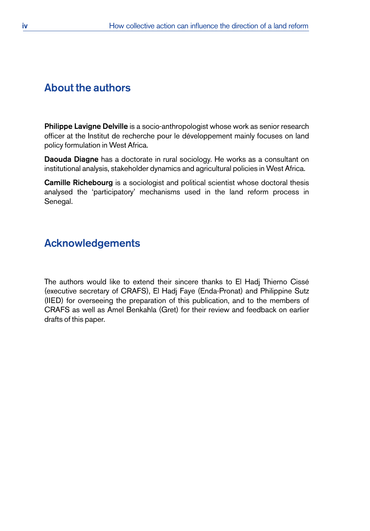# <span id="page-7-0"></span>About the authors

Philippe Lavigne Delville is a socio-anthropologist whose work as senior research officer at the Institut de recherche pour le développement mainly focuses on land policy formulation in West Africa.

Daouda Diagne has a doctorate in rural sociology. He works as a consultant on institutional analysis, stakeholder dynamics and agricultural policies in West Africa.

Camille Richebourg is a sociologist and political scientist whose doctoral thesis analysed the 'participatory' mechanisms used in the land reform process in Senegal.

# Acknowledgements

The authors would like to extend their sincere thanks to El Hadj Thierno Cissé (executive secretary of CRAFS), El Hadj Faye (Enda-Pronat) and Philippine Sutz (IIED) for overseeing the preparation of this publication, and to the members of CRAFS as well as Amel Benkahla (Gret) for their review and feedback on earlier drafts of this paper.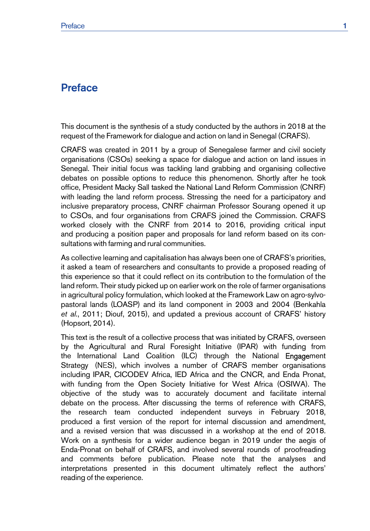# <span id="page-8-0"></span>**Preface**

This document is the synthesis of a study conducted by the authors in 2018 at the request of the Framework for dialogue and action on land in Senegal (CRAFS).

CRAFS was created in 2011 by a group of Senegalese farmer and civil society organisations (CSOs) seeking a space for dialogue and action on land issues in Senegal. Their initial focus was tackling land grabbing and organising collective debates on possible options to reduce this phenomenon. Shortly after he took office, President Macky Sall tasked the National Land Reform Commission (CNRF) with leading the land reform process. Stressing the need for a participatory and inclusive preparatory process, CNRF chairman Professor Sourang opened it up to CSOs, and four organisations from CRAFS joined the Commission. CRAFS worked closely with the CNRF from 2014 to 2016, providing critical input and producing a position paper and proposals for land reform based on its consultations with farming and rural communities.

As collective learning and capitalisation has always been one of CRAFS's priorities, it asked a team of researchers and consultants to provide a proposed reading of this experience so that it could reflect on its contribution to the formulation of the land reform. Their study picked up on earlier work on the role of farmer organisations in agricultural policy formulation, which looked at the Framework Law on agro-sylvopastoral lands (LOASP) and its land component in 2003 and 2004 (Benkahla *et al.*, 2011; Diouf, 2015), and updated a previous account of CRAFS' history (Hopsort, 2014).

This text is the result of a collective process that was initiated by CRAFS, overseen by the Agricultural and Rural Foresight Initiative (IPAR) with funding from the International Land Coalition (ILC) through the National Engagement Strategy (NES), which involves a number of CRAFS member organisations including IPAR, CICODEV Africa, IED Africa and the CNCR, and Enda Pronat, with funding from the Open Society Initiative for West Africa (OSIWA). The objective of the study was to accurately document and facilitate internal debate on the process. After discussing the terms of reference with CRAFS, the research team conducted independent surveys in February 2018, produced a first version of the report for internal discussion and amendment, and a revised version that was discussed in a workshop at the end of 2018. Work on a synthesis for a wider audience began in 2019 under the aegis of Enda-Pronat on behalf of CRAFS, and involved several rounds of proofreading and comments before publication. Please note that the analyses and interpretations presented in this document ultimately reflect the authors' reading of the experience.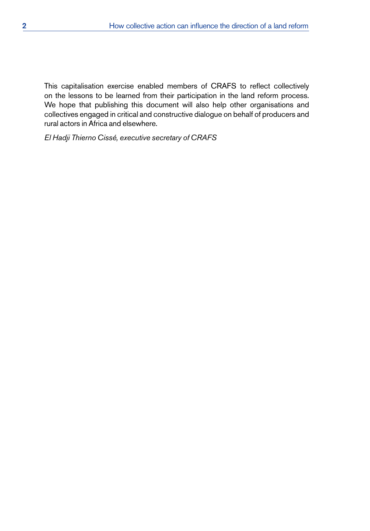This capitalisation exercise enabled members of CRAFS to reflect collectively on the lessons to be learned from their participation in the land reform process. We hope that publishing this document will also help other organisations and collectives engaged in critical and constructive dialogue on behalf of producers and rural actors in Africa and elsewhere.

*El Hadji Thierno Cissé, executive secretary of CRAFS*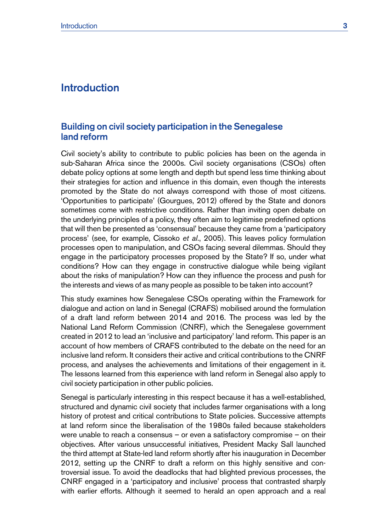# <span id="page-10-0"></span>**Introduction**

## Building on civil society participation in the Senegalese land reform

Civil society's ability to contribute to public policies has been on the agenda in sub-Saharan Africa since the 2000s. Civil society organisations (CSOs) often debate policy options at some length and depth but spend less time thinking about their strategies for action and influence in this domain, even though the interests promoted by the State do not always correspond with those of most citizens. 'Opportunities to participate' (Gourgues, 2012) offered by the State and donors sometimes come with restrictive conditions. Rather than inviting open debate on the underlying principles of a policy, they often aim to legitimise predefined options that will then be presented as 'consensual' because they came from a 'participatory process' (see, for example, Cissoko *et al*., 2005). This leaves policy formulation processes open to manipulation, and CSOs facing several dilemmas. Should they engage in the participatory processes proposed by the State? If so, under what conditions? How can they engage in constructive dialogue while being vigilant about the risks of manipulation? How can they influence the process and push for the interests and views of as many people as possible to be taken into account?

This study examines how Senegalese CSOs operating within the Framework for dialogue and action on land in Senegal (CRAFS) mobilised around the formulation of a draft land reform between 2014 and 2016. The process was led by the National Land Reform Commission (CNRF), which the Senegalese government created in 2012 to lead an 'inclusive and participatory' land reform. This paper is an account of how members of CRAFS contributed to the debate on the need for an inclusive land reform. It considers their active and critical contributions to the CNRF process, and analyses the achievements and limitations of their engagement in it. The lessons learned from this experience with land reform in Senegal also apply to civil society participation in other public policies.

Senegal is particularly interesting in this respect because it has a well-established, structured and dynamic civil society that includes farmer organisations with a long history of protest and critical contributions to State policies. Successive attempts at land reform since the liberalisation of the 1980s failed because stakeholders were unable to reach a consensus – or even a satisfactory compromise – on their objectives. After various unsuccessful initiatives, President Macky Sall launched the third attempt at State-led land reform shortly after his inauguration in December 2012, setting up the CNRF to draft a reform on this highly sensitive and controversial issue. To avoid the deadlocks that had blighted previous processes, the CNRF engaged in a 'participatory and inclusive' process that contrasted sharply with earlier efforts. Although it seemed to herald an open approach and a real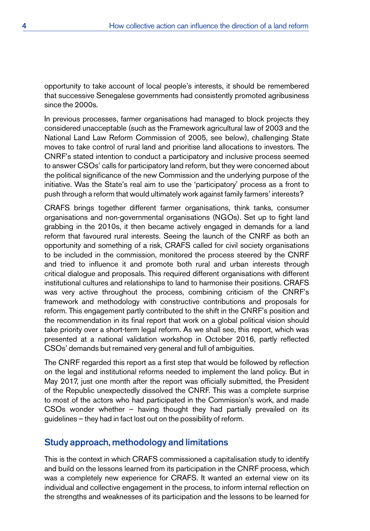opportunity to take account of local people's interests, it should be remembered that successive Senegalese governments had consistently promoted agribusiness since the 2000s.

In previous processes, farmer organisations had managed to block projects they considered unacceptable (such as the Framework agricultural law of 2003 and the National Land Law Reform Commission of 2005, see below), challenging State moves to take control of rural land and prioritise land allocations to investors. The CNRF's stated intention to conduct a participatory and inclusive process seemed to answer CSOs' calls for participatory land reform, but they were concerned about the political significance of the new Commission and the underlying purpose of the initiative. Was the State's real aim to use the 'participatory' process as a front to push through a reform that would ultimately work against family farmers' interests?

CRAFS brings together different farmer organisations, think tanks, consumer organisations and non-governmental organisations (NGOs). Set up to fight land grabbing in the 2010s, it then became actively engaged in demands for a land reform that favoured rural interests. Seeing the launch of the CNRF as both an opportunity and something of a risk, CRAFS called for civil society organisations to be included in the commission, monitored the process steered by the CNRF and tried to influence it and promote both rural and urban interests through critical dialogue and proposals. This required different organisations with different institutional cultures and relationships to land to harmonise their positions. CRAFS was very active throughout the process, combining criticism of the CNRF's framework and methodology with constructive contributions and proposals for reform. This engagement partly contributed to the shift in the CNRF's position and the recommendation in its final report that work on a global political vision should take priority over a short-term legal reform. As we shall see, this report, which was presented at a national validation workshop in October 2016, partly reflected CSOs' demands but remained very general and full of ambiguities.

The CNRF regarded this report as a first step that would be followed by reflection on the legal and institutional reforms needed to implement the land policy. But in May 2017, just one month after the report was officially submitted, the President of the Republic unexpectedly dissolved the CNRF. This was a complete surprise to most of the actors who had participated in the Commission's work, and made CSOs wonder whether – having thought they had partially prevailed on its guidelines – they had in fact lost out on the possibility of reform.

## Study approach, methodology and limitations

This is the context in which CRAFS commissioned a capitalisation study to identify and build on the lessons learned from its participation in the CNRF process, which was a completely new experience for CRAFS. It wanted an external view on its individual and collective engagement in the process, to inform internal reflection on the strengths and weaknesses of its participation and the lessons to be learned for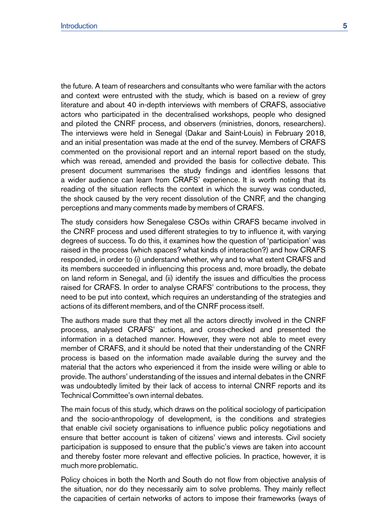the future. A team of researchers and consultants who were familiar with the actors and context were entrusted with the study, which is based on a review of grey literature and about 40 in-depth interviews with members of CRAFS, associative actors who participated in the decentralised workshops, people who designed and piloted the CNRF process, and observers (ministries, donors, researchers). The interviews were held in Senegal (Dakar and Saint-Louis) in February 2018, and an initial presentation was made at the end of the survey. Members of CRAFS commented on the provisional report and an internal report based on the study, which was reread, amended and provided the basis for collective debate. This present document summarises the study findings and identifies lessons that a wider audience can learn from CRAFS' experience. It is worth noting that its reading of the situation reflects the context in which the survey was conducted, the shock caused by the very recent dissolution of the CNRF, and the changing perceptions and many comments made by members of CRAFS.

The study considers how Senegalese CSOs within CRAFS became involved in the CNRF process and used different strategies to try to influence it, with varying degrees of success. To do this, it examines how the question of 'participation' was raised in the process (which spaces? what kinds of interaction?) and how CRAFS responded, in order to (i) understand whether, why and to what extent CRAFS and its members succeeded in influencing this process and, more broadly, the debate on land reform in Senegal, and (ii) identify the issues and difficulties the process raised for CRAFS. In order to analyse CRAFS' contributions to the process, they need to be put into context, which requires an understanding of the strategies and actions of its different members, and of the CNRF process itself.

The authors made sure that they met all the actors directly involved in the CNRF process, analysed CRAFS' actions, and cross-checked and presented the information in a detached manner. However, they were not able to meet every member of CRAFS, and it should be noted that their understanding of the CNRF process is based on the information made available during the survey and the material that the actors who experienced it from the inside were willing or able to provide. The authors' understanding of the issues and internal debates in the CNRF was undoubtedly limited by their lack of access to internal CNRF reports and its Technical Committee's own internal debates.

The main focus of this study, which draws on the political sociology of participation and the socio-anthropology of development, is the conditions and strategies that enable civil society organisations to influence public policy negotiations and ensure that better account is taken of citizens' views and interests. Civil society participation is supposed to ensure that the public's views are taken into account and thereby foster more relevant and effective policies. In practice, however, it is much more problematic.

Policy choices in both the North and South do not flow from objective analysis of the situation, nor do they necessarily aim to solve problems. They mainly reflect the capacities of certain networks of actors to impose their frameworks (ways of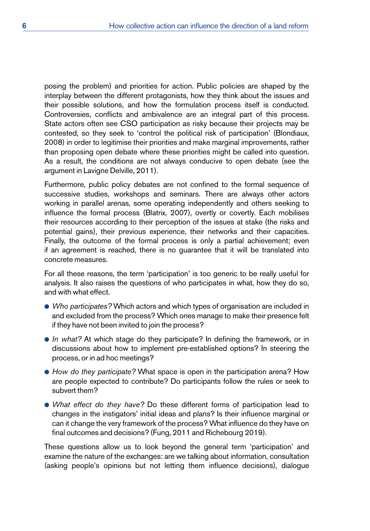posing the problem) and priorities for action. Public policies are shaped by the interplay between the different protagonists, how they think about the issues and their possible solutions, and how the formulation process itself is conducted. Controversies, conflicts and ambivalence are an integral part of this process. State actors often see CSO participation as risky because their projects may be contested, so they seek to 'control the political risk of participation' (Blondiaux, 2008) in order to legitimise their priorities and make marginal improvements, rather than proposing open debate where these priorities might be called into question. As a result, the conditions are not always conducive to open debate (see the argument in Lavigne Delville, 2011).

Furthermore, public policy debates are not confined to the formal sequence of successive studies, workshops and seminars. There are always other actors working in parallel arenas, some operating independently and others seeking to influence the formal process (Blatrix, 2007), overtly or covertly. Each mobilises their resources according to their perception of the issues at stake (the risks and potential gains), their previous experience, their networks and their capacities. Finally, the outcome of the formal process is only a partial achievement; even if an agreement is reached, there is no guarantee that it will be translated into concrete measures.

For all these reasons, the term 'participation' is too generic to be really useful for analysis. It also raises the questions of who participates in what, how they do so, and with what effect.

- *Who participates?* Which actors and which types of organisation are included in and excluded from the process? Which ones manage to make their presence felt if they have not been invited to join the process?
- **•** *In what?* At which stage do they participate? In defining the framework, or in discussions about how to implement pre-established options? In steering the process, or in ad hoc meetings?
- *How do they participate?* What space is open in the participation arena? How are people expected to contribute? Do participants follow the rules or seek to subvert them?
- *What effect do they have?* Do these different forms of participation lead to changes in the instigators' initial ideas and plans? Is their influence marginal or can it change the very framework of the process? What influence do they have on final outcomes and decisions? (Fung, 2011 and Richebourg 2019).

These questions allow us to look beyond the general term 'participation' and examine the nature of the exchanges: are we talking about information, consultation (asking people's opinions but not letting them influence decisions), dialogue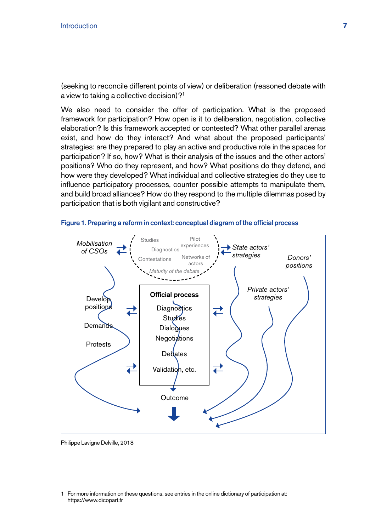<span id="page-14-0"></span>(seeking to reconcile different points of view) or deliberation (reasoned debate with a view to taking a collective decision)?1

We also need to consider the offer of participation. What is the proposed framework for participation? How open is it to deliberation, negotiation, collective elaboration? Is this framework accepted or contested? What other parallel arenas exist, and how do they interact? And what about the proposed participants' strategies: are they prepared to play an active and productive role in the spaces for participation? If so, how? What is their analysis of the issues and the other actors' positions? Who do they represent, and how? What positions do they defend, and how were they developed? What individual and collective strategies do they use to influence participatory processes, counter possible attempts to manipulate them, and build broad alliances? How do they respond to the multiple dilemmas posed by participation that is both vigilant and constructive?





Philippe Lavigne Delville, 2018

<sup>1</sup> For more information on these questions, see entries in the online dictionary of participation at: <https://www.dicopart.fr>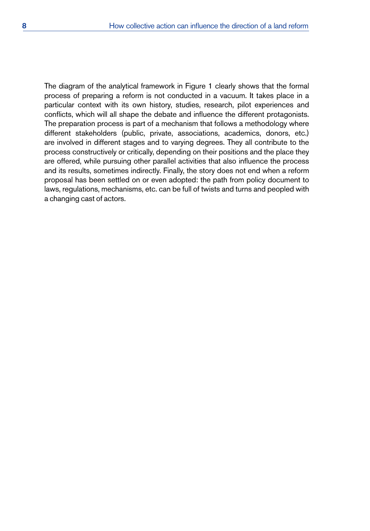The diagram of the analytical framework in Figure 1 clearly shows that the formal process of preparing a reform is not conducted in a vacuum. It takes place in a particular context with its own history, studies, research, pilot experiences and conflicts, which will all shape the debate and influence the different protagonists. The preparation process is part of a mechanism that follows a methodology where different stakeholders (public, private, associations, academics, donors, etc.) are involved in different stages and to varying degrees. They all contribute to the process constructively or critically, depending on their positions and the place they are offered, while pursuing other parallel activities that also influence the process and its results, sometimes indirectly. Finally, the story does not end when a reform proposal has been settled on or even adopted: the path from policy document to laws, regulations, mechanisms, etc. can be full of twists and turns and peopled with a changing cast of actors.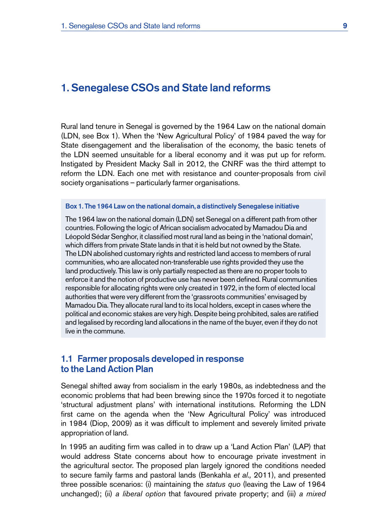# <span id="page-16-0"></span>1. Senegalese CSOs and State land reforms

Rural land tenure in Senegal is governed by the 1964 Law on the national domain (LDN, see Box 1). When the 'New Agricultural Policy' of 1984 paved the way for State disengagement and the liberalisation of the economy, the basic tenets of the LDN seemed unsuitable for a liberal economy and it was put up for reform. Instigated by President Macky Sall in 2012, the CNRF was the third attempt to reform the LDN. Each one met with resistance and counter-proposals from civil society organisations – particularly farmer organisations.

#### Box 1. The 1964 Law on the national domain, a distinctively Senegalese initiative

The 1964 law on the national domain (LDN) set Senegal on a different path from other countries. Following the logic of African socialism advocated by Mamadou Dia and Léopold Sédar Senghor, it classified most rural land as being in the 'national domain', which differs from private State lands in that it is held but not owned by the State. The LDN abolished customary rights and restricted land access to members of rural communities, who are allocated non-transferable use rights provided they use the land productively. This law is only partially respected as there are no proper tools to enforce it and the notion of productive use has never been defined. Rural communities responsible for allocating rights were only created in 1972, in the form of elected local authorities that were very different from the 'grassroots communities' envisaged by Mamadou Dia. They allocate rural land to its local holders, except in cases where the political and economic stakes are very high. Despite being prohibited, sales are ratified and legalised by recording land allocations in the name of the buyer, even if they do not live in the commune.

# 1.1 Farmer proposals developed in response to the Land Action Plan

Senegal shifted away from socialism in the early 1980s, as indebtedness and the economic problems that had been brewing since the 1970s forced it to negotiate 'structural adjustment plans' with international institutions. Reforming the LDN first came on the agenda when the 'New Agricultural Policy' was introduced in 1984 (Diop, 2009) as it was difficult to implement and severely limited private appropriation of land.

In 1995 an auditing firm was called in to draw up a 'Land Action Plan' (LAP) that would address State concerns about how to encourage private investment in the agricultural sector. The proposed plan largely ignored the conditions needed to secure family farms and pastoral lands (Benkahla *et al.,* 2011), and presented three possible scenarios: (i) maintaining the *status quo* (leaving the Law of 1964 unchanged); (ii) *a liberal option* that favoured private property; and (iii) *a mixed*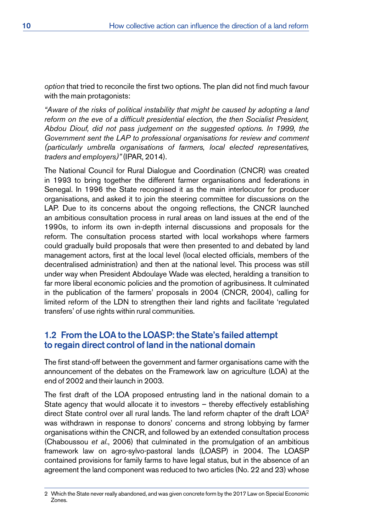<span id="page-17-0"></span>*option* that tried to reconcile the first two options. The plan did not find much favour with the main protagonists:

*"Aware of the risks of political instability that might be caused by adopting a land reform on the eve of a difficult presidential election, the then Socialist President, Abdou Diouf, did not pass judgement on the suggested options. In 1999, the Government sent the LAP to professional organisations for review and comment (particularly umbrella organisations of farmers, local elected representatives, traders and employers)"* (IPAR, 2014).

The National Council for Rural Dialogue and Coordination (CNCR) was created in 1993 to bring together the different farmer organisations and federations in Senegal. In 1996 the State recognised it as the main interlocutor for producer organisations, and asked it to join the steering committee for discussions on the LAP. Due to its concerns about the ongoing reflections, the CNCR launched an ambitious consultation process in rural areas on land issues at the end of the 1990s, to inform its own in-depth internal discussions and proposals for the reform. The consultation process started with local workshops where farmers could gradually build proposals that were then presented to and debated by land management actors, first at the local level (local elected officials, members of the decentralised administration) and then at the national level. This process was still under way when President Abdoulaye Wade was elected, heralding a transition to far more liberal economic policies and the promotion of agribusiness. It culminated in the publication of the farmers' proposals in 2004 (CNCR, 2004), calling for limited reform of the LDN to strengthen their land rights and facilitate 'regulated transfers' of use rights within rural communities.

# 1.2 From the LOA to the LOASP: the State's failed attempt to regain direct control of land in the national domain

The first stand-off between the government and farmer organisations came with the announcement of the debates on the Framework law on agriculture (LOA) at the end of 2002 and their launch in 2003.

The first draft of the LOA proposed entrusting land in the national domain to a State agency that would allocate it to investors – thereby effectively establishing direct State control over all rural lands. The land reform chapter of the draft LOA<sup>2</sup> was withdrawn in response to donors' concerns and strong lobbying by farmer organisations within the CNCR, and followed by an extended consultation process (Chaboussou *et al*., 2006) that culminated in the promulgation of an ambitious framework law on agro-sylvo-pastoral lands (LOASP) in 2004. The LOASP contained provisions for family farms to have legal status, but in the absence of an agreement the land component was reduced to two articles (No. 22 and 23) whose

<sup>2</sup> Which the State never really abandoned, and was given concrete form by the 2017 Law on Special Economic Zones.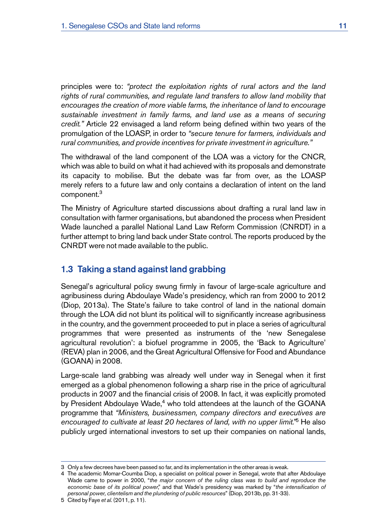<span id="page-18-0"></span>principles were to: *"protect the exploitation rights of rural actors and the land rights of rural communities, and regulate land transfers to allow land mobility that encourages the creation of more viable farms, the inheritance of land to encourage sustainable investment in family farms, and land use as a means of securing credit."* Article 22 envisaged a land reform being defined within two years of the promulgation of the LOASP, in order to *"secure tenure for farmers, individuals and rural communities, and provide incentives for private investment in agriculture."* 

The withdrawal of the land component of the LOA was a victory for the CNCR, which was able to build on what it had achieved with its proposals and demonstrate its capacity to mobilise. But the debate was far from over, as the LOASP merely refers to a future law and only contains a declaration of intent on the land component.3

The Ministry of Agriculture started discussions about drafting a rural land law in consultation with farmer organisations, but abandoned the process when President Wade launched a parallel National Land Law Reform Commission (CNRDT) in a further attempt to bring land back under State control. The reports produced by the CNRDT were not made available to the public.

# 1.3 Taking a stand against land grabbing

Senegal's agricultural policy swung firmly in favour of large-scale agriculture and agribusiness during Abdoulaye Wade's presidency, which ran from 2000 to 2012 (Diop, 2013a). The State's failure to take control of land in the national domain through the LOA did not blunt its political will to significantly increase agribusiness in the country, and the government proceeded to put in place a series of agricultural programmes that were presented as instruments of the 'new Senegalese agricultural revolution': a biofuel programme in 2005, the 'Back to Agriculture' (REVA) plan in 2006, and the Great Agricultural Offensive for Food and Abundance (GOANA) in 2008.

Large-scale land grabbing was already well under way in Senegal when it first emerged as a global phenomenon following a sharp rise in the price of agricultural products in 2007 and the financial crisis of 2008. In fact, it was explicitly promoted by President Abdoulaye Wade,<sup>4</sup> who told attendees at the launch of the GOANA programme that *"Ministers, businessmen, company directors and executives are encouraged to cultivate at least 20 hectares of land, with no upper limit."*5 He also publicly urged international investors to set up their companies on national lands,

<sup>3</sup> Only a few decrees have been passed so far, and its implementation in the other areas is weak.

<sup>4</sup> The academic Momar-Coumba Diop, a specialist on political power in Senegal, wrote that after Abdoulaye Wade came to power in 2000, "*the major concern of the ruling class was to build and reproduce the economic base of its political power*," and that Wade's presidency was marked by "*the intensification of personal power, clientelism and the plundering of public resources*" (Diop, 2013b, pp. 31-33).

<sup>5</sup> Cited by Faye *et al.* (2011, p. 11).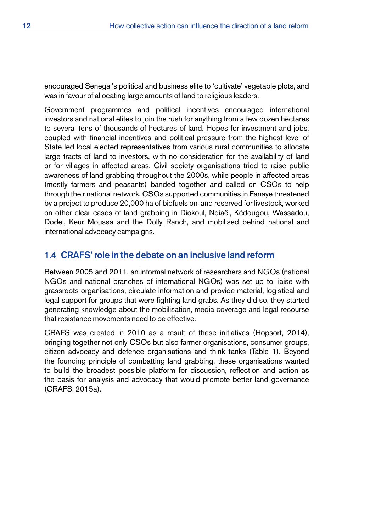<span id="page-19-0"></span>encouraged Senegal's political and business elite to 'cultivate' vegetable plots, and was in favour of allocating large amounts of land to religious leaders.

Government programmes and political incentives encouraged international investors and national elites to join the rush for anything from a few dozen hectares to several tens of thousands of hectares of land. Hopes for investment and jobs, coupled with financial incentives and political pressure from the highest level of State led local elected representatives from various rural communities to allocate large tracts of land to investors, with no consideration for the availability of land or for villages in affected areas. Civil society organisations tried to raise public awareness of land grabbing throughout the 2000s, while people in affected areas (mostly farmers and peasants) banded together and called on CSOs to help through their national network. CSOs supported communities in Fanaye threatened by a project to produce 20,000 ha of biofuels on land reserved for livestock, worked on other clear cases of land grabbing in Diokoul, Ndiaël, Kédougou, Wassadou, Dodel, Keur Moussa and the Dolly Ranch, and mobilised behind national and international advocacy campaigns.

# 1.4 CRAFS' role in the debate on an inclusive land reform

Between 2005 and 2011, an informal network of researchers and NGOs (national NGOs and national branches of international NGOs) was set up to liaise with grassroots organisations, circulate information and provide material, logistical and legal support for groups that were fighting land grabs. As they did so, they started generating knowledge about the mobilisation, media coverage and legal recourse that resistance movements need to be effective.

CRAFS was created in 2010 as a result of these initiatives (Hopsort, 2014), bringing together not only CSOs but also farmer organisations, consumer groups, citizen advocacy and defence organisations and think tanks (Table 1). Beyond the founding principle of combatting land grabbing, these organisations wanted to build the broadest possible platform for discussion, reflection and action as the basis for analysis and advocacy that would promote better land governance (CRAFS, 2015a).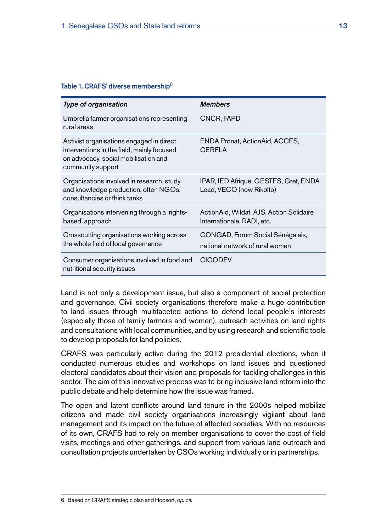#### <span id="page-20-0"></span>Table 1. CRAFS' diverse membership<sup>6</sup>

| Type of organisation                                                                                                                                | <b>Members</b>                                                         |
|-----------------------------------------------------------------------------------------------------------------------------------------------------|------------------------------------------------------------------------|
| Umbrella farmer organisations representing<br>rural areas                                                                                           | CNCR, FAPD                                                             |
| Activist organisations engaged in direct<br>interventions in the field, mainly focused<br>on advocacy, social mobilisation and<br>community support | ENDA Pronat, ActionAid, ACCES,<br><b>CERFLA</b>                        |
| Organisations involved in research, study<br>and knowledge production, often NGOs,<br>consultancies or think tanks                                  | IPAR, IED Afrique, GESTES, Gret, ENDA<br>Lead, VECO (now Rikolto)      |
| Organisations intervening through a 'rights-<br>based' approach                                                                                     | ActionAid, Wildaf, AJS, Action Solidaire<br>Internationale, RADI, etc. |
| Crosscutting organisations working across<br>the whole field of local governance                                                                    | CONGAD, Forum Social Sénégalais,<br>national network of rural women    |
| Consumer organisations involved in food and<br>nutritional security issues                                                                          | <b>CICODEV</b>                                                         |

Land is not only a development issue, but also a component of social protection and governance. Civil society organisations therefore make a huge contribution to land issues through multifaceted actions to defend local people's interests (especially those of family farmers and women), outreach activities on land rights and consultations with local communities, and by using research and scientific tools to develop proposals for land policies.

CRAFS was particularly active during the 2012 presidential elections, when it conducted numerous studies and workshops on land issues and questioned electoral candidates about their vision and proposals for tackling challenges in this sector. The aim of this innovative process was to bring inclusive land reform into the public debate and help determine how the issue was framed.

The open and latent conflicts around land tenure in the 2000s helped mobilize citizens and made civil society organisations increasingly vigilant about land management and its impact on the future of affected societies. With no resources of its own, CRAFS had to rely on member organisations to cover the cost of field visits, meetings and other gatherings, and support from various land outreach and consultation projects undertaken by CSOs working individually or in partnerships.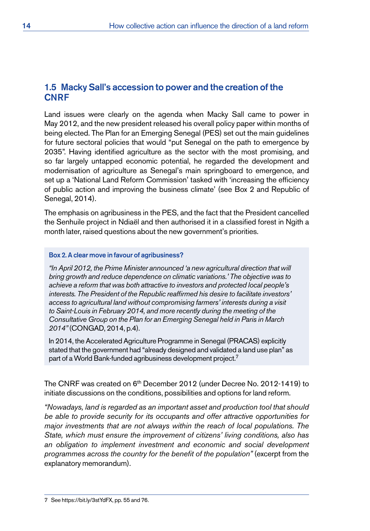# <span id="page-21-0"></span>1.5 Macky Sall's accession to power and the creation of the **CNRF**

Land issues were clearly on the agenda when Macky Sall came to power in May 2012, and the new president released his overall policy paper within months of being elected. The Plan for an Emerging Senegal (PES) set out the main guidelines for future sectoral policies that would "put Senegal on the path to emergence by 2035". Having identified agriculture as the sector with the most promising, and so far largely untapped economic potential, he regarded the development and modernisation of agriculture as Senegal's main springboard to emergence, and set up a 'National Land Reform Commission' tasked with 'increasing the efficiency of public action and improving the business climate' (see Box 2 and Republic of Senegal, 2014).

The emphasis on agribusiness in the PES, and the fact that the President cancelled the Senhuile project in Ndiaël and then authorised it in a classified forest in Ngith a month later, raised questions about the new government's priorities.

#### Box 2. A clear move in favour of agribusiness?

*"In April 2012, the Prime Minister announced 'a new agricultural direction that will bring growth and reduce dependence on climatic variations.' The objective was to achieve a reform that was both attractive to investors and protected local people's interests. The President of the Republic reaffirmed his desire to facilitate investors' access to agricultural land without compromising farmers' interests during a visit to Saint-Louis in February 2014, and more recently during the meeting of the Consultative Group on the Plan for an Emerging Senegal held in Paris in March 2014"* (CONGAD, 2014, p.4).

In 2014, the Accelerated Agriculture Programme in Senegal (PRACAS) explicitly stated that the government had "already designed and validated a land use plan" as part of a World Bank-funded agribusiness development project.7

The CNRF was created on 6<sup>th</sup> December 2012 (under Decree No. 2012-1419) to initiate discussions on the conditions, possibilities and options for land reform.

*"Nowadays, land is regarded as an important asset and production tool that should be able to provide security for its occupants and offer attractive opportunities for major investments that are not always within the reach of local populations. The State, which must ensure the improvement of citizens' living conditions, also has an obligation to implement investment and economic and social development programmes across the country for the benefit of the population"* (excerpt from the explanatory memorandum).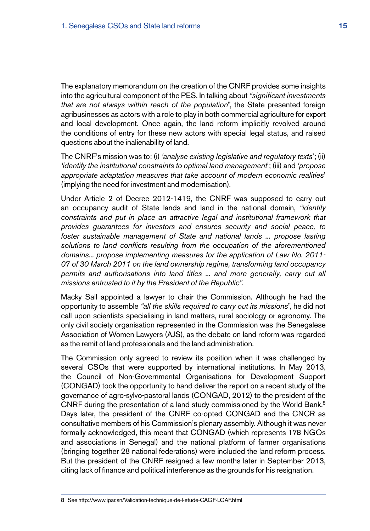The explanatory memorandum on the creation of the CNRF provides some insights into the agricultural component of the PES. In talking about *"significant investments that are not always within reach of the population*", the State presented foreign agribusinesses as actors with a role to play in both commercial agriculture for export and local development. Once again, the land reform implicitly revolved around the conditions of entry for these new actors with special legal status, and raised questions about the inalienability of land.

The CNRF's mission was to: (i) *'analyse existing legislative and regulatory texts*'; (ii) *'identify the institutional constraints to optimal land management*'; (iii) and *'propose appropriate adaptation measures that take account of modern economic realities*' (implying the need for investment and modernisation).

Under Article 2 of Decree 2012-1419, the CNRF was supposed to carry out an occupancy audit of State lands and land in the national domain, *"identify constraints and put in place an attractive legal and institutional framework that provides guarantees for investors and ensures security and social peace, to foster sustainable management of State and national lands ... propose lasting solutions to land conflicts resulting from the occupation of the aforementioned domains... propose implementing measures for the application of Law No. 2011- 07 of 30 March 2011 on the land ownership regime, transforming land occupancy permits and authorisations into land titles ... and more generally, carry out all missions entrusted to it by the President of the Republic"*.

Macky Sall appointed a lawyer to chair the Commission. Although he had the opportunity to assemble *"all the skills required to carry out its missions*", he did not call upon scientists specialising in land matters, rural sociology or agronomy. The only civil society organisation represented in the Commission was the Senegalese Association of Women Lawyers (AJS), as the debate on land reform was regarded as the remit of land professionals and the land administration.

The Commission only agreed to review its position when it was challenged by several CSOs that were supported by international institutions. In May 2013, the Council of Non-Governmental Organisations for Development Support (CONGAD) took the opportunity to hand deliver the report on a recent study of the governance of agro-sylvo-pastoral lands (CONGAD, 2012) to the president of the CNRF during the presentation of a land study commissioned by the World Bank.<sup>8</sup> Days later, the president of the CNRF co-opted CONGAD and the CNCR as consultative members of his Commission's plenary assembly. Although it was never formally acknowledged, this meant that CONGAD (which represents 178 NGOs and associations in Senegal) and the national platform of farmer organisations (bringing together 28 national federations) were included the land reform process. But the president of the CNRF resigned a few months later in September 2013, citing lack of finance and political interference as the grounds for his resignation.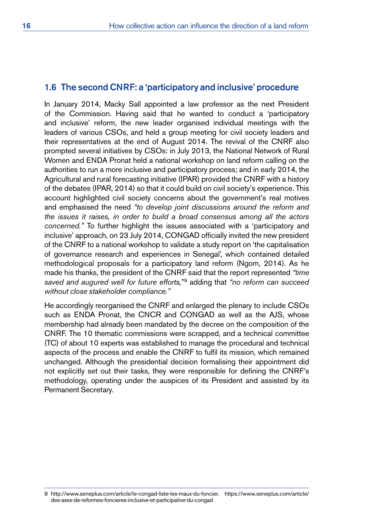# <span id="page-23-0"></span>1.6 The second CNRF: a 'participatory and inclusive' procedure

In January 2014, Macky Sall appointed a law professor as the next President of the Commission. Having said that he wanted to conduct a 'participatory and inclusive' reform, the new leader organised individual meetings with the leaders of various CSOs, and held a group meeting for civil society leaders and their representatives at the end of August 2014. The revival of the CNRF also prompted several initiatives by CSOs: in July 2013, the National Network of Rural Women and ENDA Pronat held a national workshop on land reform calling on the authorities to run a more inclusive and participatory process; and in early 2014, the Agricultural and rural forecasting initiative (IPAR) provided the CNRF with a history of the debates (IPAR, 2014) so that it could build on civil society's experience. This account highlighted civil society concerns about the government's real motives and emphasised the need *"to develop joint discussions around the reform and the issues it raises, in order to build a broad consensus among all the actors concerned."* To further highlight the issues associated with a 'participatory and inclusive' approach, on 23 July 2014, CONGAD officially invited the new president of the CNRF to a national workshop to validate a study report on 'the capitalisation of governance research and experiences in Senegal', which contained detailed methodological proposals for a participatory land reform (Ngom, 2014). As he made his thanks, the president of the CNRF said that the report represented *"time saved and augured well for future efforts,*"9 adding that *"no reform can succeed without close stakeholde*r *compliance."* 

He accordingly reorganised the CNRF and enlarged the plenary to include CSOs such as ENDA Pronat, the CNCR and CONGAD as well as the AJS, whose membership had already been mandated by the decree on the composition of the CNRF. The 10 thematic commissions were scrapped, and a technical committee (TC) of about 10 experts was established to manage the procedural and technical aspects of the process and enable the CNRF to fulfil its mission, which remained unchanged. Although the presidential decision formalising their appointment did not explicitly set out their tasks, they were responsible for defining the CNRF's methodology, operating under the auspices of its President and assisted by its Permanent Secretary.

<sup>9</sup> [http://www.seneplus.com/article/le-congad-liste-les-maux-du-foncier,](http://www.seneplus.com/article/le-congad-liste-les-maux-du-foncier) [https://www.seneplus.com/article/](https://www.seneplus.com/article/des-axes-de-reformes-foncieres-inclusive-et-participative-du-congad) [des-axes-de-reformes-foncieres-inclusive-et-participative-du-congad](https://www.seneplus.com/article/des-axes-de-reformes-foncieres-inclusive-et-participative-du-congad)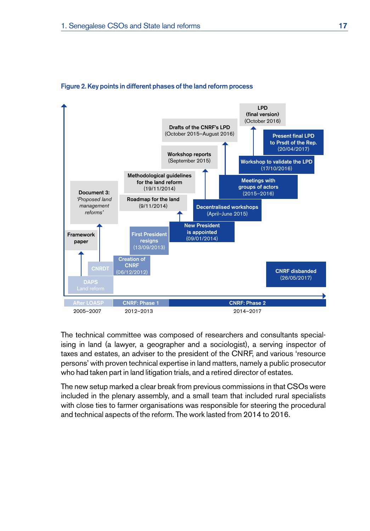

#### <span id="page-24-0"></span>Figure 2. Key points in different phases of the land reform process

The technical committee was composed of researchers and consultants specialising in land (a lawyer, a geographer and a sociologist), a serving inspector of taxes and estates, an adviser to the president of the CNRF, and various 'resource persons' with proven technical expertise in land matters, namely a public prosecutor who had taken part in land litigation trials, and a retired director of estates.

The new setup marked a clear break from previous commissions in that CSOs were included in the plenary assembly, and a small team that included rural specialists with close ties to farmer organisations was responsible for steering the procedural and technical aspects of the reform. The work lasted from 2014 to 2016.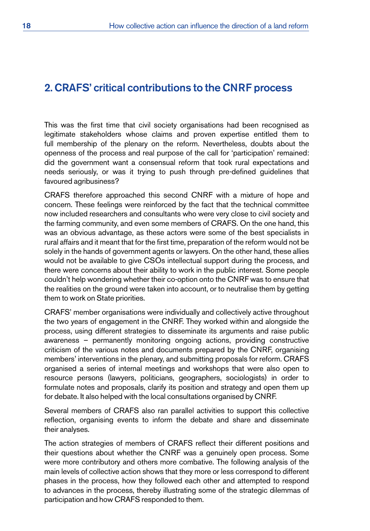# <span id="page-25-0"></span>2. CRAFS' critical contributions to the CNRF process

This was the first time that civil society organisations had been recognised as legitimate stakeholders whose claims and proven expertise entitled them to full membership of the plenary on the reform. Nevertheless, doubts about the openness of the process and real purpose of the call for 'participation' remained: did the government want a consensual reform that took rural expectations and needs seriously, or was it trying to push through pre-defined guidelines that favoured agribusiness?

CRAFS therefore approached this second CNRF with a mixture of hope and concern. These feelings were reinforced by the fact that the technical committee now included researchers and consultants who were very close to civil society and the farming community, and even some members of CRAFS. On the one hand, this was an obvious advantage, as these actors were some of the best specialists in rural affairs and it meant that for the first time, preparation of the reform would not be solely in the hands of government agents or lawyers. On the other hand, these allies would not be available to give CSOs intellectual support during the process, and there were concerns about their ability to work in the public interest. Some people couldn't help wondering whether their co-option onto the CNRF was to ensure that the realities on the ground were taken into account, or to neutralise them by getting them to work on State priorities.

CRAFS' member organisations were individually and collectively active throughout the two years of engagement in the CNRF. They worked within and alongside the process, using different strategies to disseminate its arguments and raise public awareness – permanently monitoring ongoing actions, providing constructive criticism of the various notes and documents prepared by the CNRF, organising members' interventions in the plenary, and submitting proposals for reform. CRAFS organised a series of internal meetings and workshops that were also open to resource persons (lawyers, politicians, geographers, sociologists) in order to formulate notes and proposals, clarify its position and strategy and open them up for debate. It also helped with the local consultations organised by CNRF.

Several members of CRAFS also ran parallel activities to support this collective reflection, organising events to inform the debate and share and disseminate their analyses.

The action strategies of members of CRAFS reflect their different positions and their questions about whether the CNRF was a genuinely open process. Some were more contributory and others more combative. The following analysis of the main levels of collective action shows that they more or less correspond to different phases in the process, how they followed each other and attempted to respond to advances in the process, thereby illustrating some of the strategic dilemmas of participation and how CRAFS responded to them.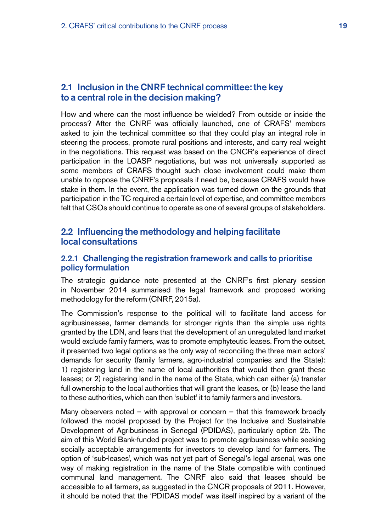# <span id="page-26-0"></span>2.1 Inclusion in the CNRF technical committee: the key to a central role in the decision making?

How and where can the most influence be wielded? From outside or inside the process? After the CNRF was officially launched, one of CRAFS' members asked to join the technical committee so that they could play an integral role in steering the process, promote rural positions and interests, and carry real weight in the negotiations. This request was based on the CNCR's experience of direct participation in the LOASP negotiations, but was not universally supported as some members of CRAFS thought such close involvement could make them unable to oppose the CNRF's proposals if need be, because CRAFS would have stake in them. In the event, the application was turned down on the grounds that participation in the TC required a certain level of expertise, and committee members felt that CSOs should continue to operate as one of several groups of stakeholders.

# 2.2 Influencing the methodology and helping facilitate local consultations

#### 2.2.1 Challenging the registration framework and calls to prioritise policy formulation

The strategic guidance note presented at the CNRF's first plenary session in November 2014 summarised the legal framework and proposed working methodology for the reform (CNRF, 2015a).

The Commission's response to the political will to facilitate land access for agribusinesses, farmer demands for stronger rights than the simple use rights granted by the LDN, and fears that the development of an unregulated land market would exclude family farmers, was to promote emphyteutic leases. From the outset, it presented two legal options as the only way of reconciling the three main actors' demands for security (family farmers, agro-industrial companies and the State): 1) registering land in the name of local authorities that would then grant these leases; or 2) registering land in the name of the State, which can either (a) transfer full ownership to the local authorities that will grant the leases, or (b) lease the land to these authorities, which can then 'sublet' it to family farmers and investors.

Many observers noted – with approval or concern – that this framework broadly followed the model proposed by the Project for the Inclusive and Sustainable Development of Agribusiness in Senegal (PDIDAS), particularly option 2b. The aim of this World Bank-funded project was to promote agribusiness while seeking socially acceptable arrangements for investors to develop land for farmers. The option of 'sub-leases', which was not yet part of Senegal's legal arsenal, was one way of making registration in the name of the State compatible with continued communal land management. The CNRF also said that leases should be accessible to all farmers, as suggested in the CNCR proposals of 2011. However, it should be noted that the 'PDIDAS model' was itself inspired by a variant of the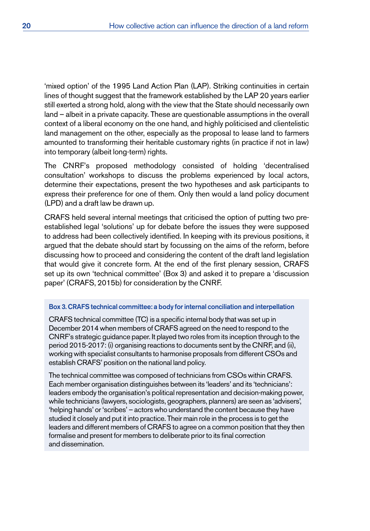<span id="page-27-0"></span>'mixed option' of the 1995 Land Action Plan (LAP). Striking continuities in certain lines of thought suggest that the framework established by the LAP 20 years earlier still exerted a strong hold, along with the view that the State should necessarily own land – albeit in a private capacity. These are questionable assumptions in the overall context of a liberal economy on the one hand, and highly politicised and clientelistic land management on the other, especially as the proposal to lease land to farmers amounted to transforming their heritable customary rights (in practice if not in law) into temporary (albeit long-term) rights.

The CNRF's proposed methodology consisted of holding 'decentralised consultation' workshops to discuss the problems experienced by local actors, determine their expectations, present the two hypotheses and ask participants to express their preference for one of them. Only then would a land policy document (LPD) and a draft law be drawn up.

CRAFS held several internal meetings that criticised the option of putting two preestablished legal 'solutions' up for debate before the issues they were supposed to address had been collectively identified. In keeping with its previous positions, it argued that the debate should start by focussing on the aims of the reform, before discussing how to proceed and considering the content of the draft land legislation that would give it concrete form. At the end of the first plenary session, CRAFS set up its own 'technical committee' (Box 3) and asked it to prepare a 'discussion paper' (CRAFS, 2015b) for consideration by the CNRF.

#### Box 3. CRAFStechnical committee: a body for internal conciliation and interpellation

CRAFS technical committee (TC) is a specific internal body that was set up in December 2014 when members of CRAFS agreed on the need to respond to the CNRF's strategic guidance paper. It played two roles from its inception through to the period 2015-2017: (i) organising reactions to documents sent by the CNRF, and (ii), working with specialist consultants to harmonise proposals from different CSOs and establish CRAFS' position on the national land policy.

The technical committee was composed of technicians from CSOs within CRAFS. Each member organisation distinguishes between its 'leaders' and its 'technicians': leaders embody the organisation's political representation and decision-making power, while technicians (lawyers, sociologists, geographers, planners) are seen as 'advisers', 'helping hands' or 'scribes' – actors who understand the content because they have studied it closely and put it into practice. Their main role in the process is to get the leaders and different members of CRAFS to agree on a common position that they then formalise and present for members to deliberate prior to its final correction and dissemination.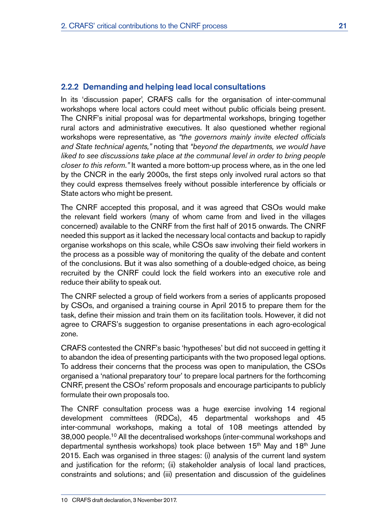#### 2.2.2 Demanding and helping lead local consultations

In its 'discussion paper', CRAFS calls for the organisation of inter-communal workshops where local actors could meet without public officials being present. The CNRF's initial proposal was for departmental workshops, bringing together rural actors and administrative executives. It also questioned whether regional workshops were representative, as *"the governors mainly invite elected officials and State technical agents,"* noting that *"beyond the departments, we would have liked to see discussions take place at the communal level in order to bring people closer to this reform*.*"* It wanted a more bottom-up process where, as in the one led by the CNCR in the early 2000s, the first steps only involved rural actors so that they could express themselves freely without possible interference by officials or State actors who might be present.

The CNRF accepted this proposal, and it was agreed that CSOs would make the relevant field workers (many of whom came from and lived in the villages concerned) available to the CNRF from the first half of 2015 onwards. The CNRF needed this support as it lacked the necessary local contacts and backup to rapidly organise workshops on this scale, while CSOs saw involving their field workers in the process as a possible way of monitoring the quality of the debate and content of the conclusions. But it was also something of a double-edged choice, as being recruited by the CNRF could lock the field workers into an executive role and reduce their ability to speak out.

The CNRF selected a group of field workers from a series of applicants proposed by CSOs, and organised a training course in April 2015 to prepare them for the task, define their mission and train them on its facilitation tools. However, it did not agree to CRAFS's suggestion to organise presentations in each agro-ecological zone.

CRAFS contested the CNRF's basic 'hypotheses' but did not succeed in getting it to abandon the idea of presenting participants with the two proposed legal options. To address their concerns that the process was open to manipulation, the CSOs organised a 'national preparatory tour' to prepare local partners for the forthcoming CNRF, present the CSOs' reform proposals and encourage participants to publicly formulate their own proposals too.

The CNRF consultation process was a huge exercise involving 14 regional development committees (RDCs), 45 departmental workshops and 45 inter-communal workshops, making a total of 108 meetings attended by 38,000 people.10 All the decentralised workshops (inter-communal workshops and departmental synthesis workshops) took place between 15<sup>th</sup> May and 18<sup>th</sup> June 2015. Each was organised in three stages: (i) analysis of the current land system and justification for the reform; (ii) stakeholder analysis of local land practices, constraints and solutions; and (iii) presentation and discussion of the guidelines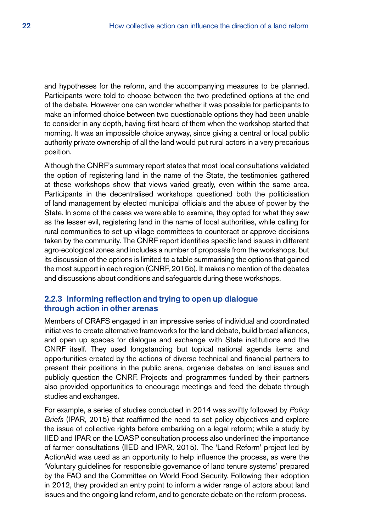and hypotheses for the reform, and the accompanying measures to be planned. Participants were told to choose between the two predefined options at the end of the debate. However one can wonder whether it was possible for participants to make an informed choice between two questionable options they had been unable to consider in any depth, having first heard of them when the workshop started that morning. It was an impossible choice anyway, since giving a central or local public authority private ownership of all the land would put rural actors in a very precarious position.

Although the CNRF's summary report states that most local consultations validated the option of registering land in the name of the State, the testimonies gathered at these workshops show that views varied greatly, even within the same area. Participants in the decentralised workshops questioned both the politicisation of land management by elected municipal officials and the abuse of power by the State. In some of the cases we were able to examine, they opted for what they saw as the lesser evil, registering land in the name of local authorities, while calling for rural communities to set up village committees to counteract or approve decisions taken by the community. The CNRF report identifies specific land issues in different agro-ecological zones and includes a number of proposals from the workshops, but its discussion of the options is limited to a table summarising the options that gained the most support in each region (CNRF, 2015b). It makes no mention of the debates and discussions about conditions and safeguards during these workshops.

#### 2.2.3 Informing reflection and trying to open up dialogue through action in other arenas

Members of CRAFS engaged in an impressive series of individual and coordinated initiatives to create alternative frameworks for the land debate, build broad alliances, and open up spaces for dialogue and exchange with State institutions and the CNRF itself. They used longstanding but topical national agenda items and opportunities created by the actions of diverse technical and financial partners to present their positions in the public arena, organise debates on land issues and publicly question the CNRF. Projects and programmes funded by their partners also provided opportunities to encourage meetings and feed the debate through studies and exchanges.

For example, a series of studies conducted in 2014 was swiftly followed by *Policy Briefs* (IPAR, 2015) that reaffirmed the need to set policy objectives and explore the issue of collective rights before embarking on a legal reform; while a study by IIED and IPAR on the LOASP consultation process also underlined the importance of farmer consultations (IIED and IPAR, 2015). The 'Land Reform' project led by ActionAid was used as an opportunity to help influence the process, as were the 'Voluntary guidelines for responsible governance of land tenure systems' prepared by the FAO and the Committee on World Food Security. Following their adoption in 2012, they provided an entry point to inform a wider range of actors about land issues and the ongoing land reform, and to generate debate on the reform process.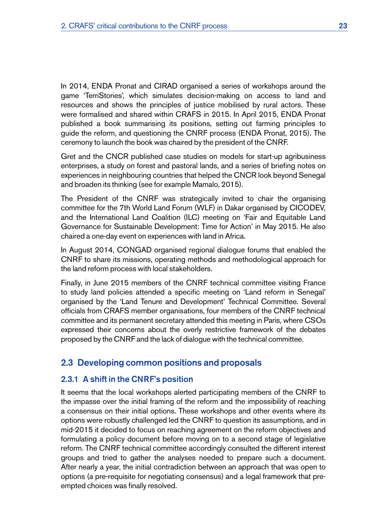<span id="page-30-0"></span>In 2014, ENDA Pronat and CIRAD organised a series of workshops around the game 'TerriStories', which simulates decision-making on access to land and resources and shows the principles of justice mobilised by rural actors. These were formalised and shared within CRAFS in 2015. In April 2015, ENDA Pronat published a book summarising its positions, setting out farming principles to guide the reform, and questioning the CNRF process (ENDA Pronat, 2015). The ceremony to launch the book was chaired by the president of the CNRF.

Gret and the CNCR published case studies on models for start-up agribusiness enterprises, a study on forest and pastoral lands, and a series of briefing notes on experiences in neighbouring countries that helped the CNCR look beyond Senegal and broaden its thinking (see for example Mamalo, 2015).

The President of the CNRF was strategically invited to chair the organising committee for the 7th World Land Forum (WLF) in Dakar organised by CICODEV, and the International Land Coalition (ILC) meeting on 'Fair and Equitable Land Governance for Sustainable Development: Time for Action' in May 2015. He also chaired a one-day event on experiences with land in Africa.

In August 2014, CONGAD organised regional dialogue forums that enabled the CNRF to share its missions, operating methods and methodological approach for the land reform process with local stakeholders.

Finally, in June 2015 members of the CNRF technical committee visiting France to study land policies attended a specific meeting on 'Land reform in Senegal' organised by the 'Land Tenure and Development' Technical Committee. Several officials from CRAFS member organisations, four members of the CNRF technical committee and its permanent secretary attended this meeting in Paris, where CSOs expressed their concerns about the overly restrictive framework of the debates proposed by the CNRF and the lack of dialogue with the technical committee.

# 2.3 Developing common positions and proposals

## 2.3.1 A shift in the CNRF's position

It seems that the local workshops alerted participating members of the CNRF to the impasse over the initial framing of the reform and the impossibility of reaching a consensus on their initial options. These workshops and other events where its options were robustly challenged led the CNRF to question its assumptions, and in mid-2015 it decided to focus on reaching agreement on the reform objectives and formulating a policy document before moving on to a second stage of legislative reform. The CNRF technical committee accordingly consulted the different interest groups and tried to gather the analyses needed to prepare such a document. After nearly a year, the initial contradiction between an approach that was open to options (a pre-requisite for negotiating consensus) and a legal framework that preempted choices was finally resolved.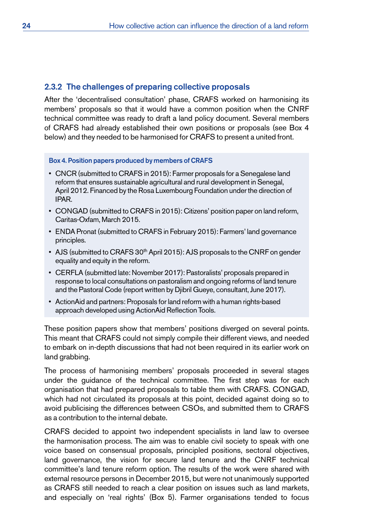#### <span id="page-31-0"></span>2.3.2 The challenges of preparing collective proposals

After the 'decentralised consultation' phase, CRAFS worked on harmonising its members' proposals so that it would have a common position when the CNRF technical committee was ready to draft a land policy document. Several members of CRAFS had already established their own positions or proposals (see Box 4 below) and they needed to be harmonised for CRAFS to present a united front.

#### Box 4. Position papers produced by members of CRAFS

- CNCR (submitted to CRAFS in 2015): Farmer proposals for a Senegalese land reform that ensures sustainable agricultural and rural development in Senegal, April 2012. Financed by the Rosa Luxembourg Foundation under the direction of IPAR.
- CONGAD (submitted to CRAFS in 2015): Citizens' position paper on land reform, Caritas-Oxfam, March 2015.
- ENDA Pronat (submitted to CRAFS in February 2015): Farmers' land governance principles.
- AJS (submitted to CRAFS 30<sup>th</sup> April 2015): AJS proposals to the CNRF on gender equality and equity in the reform.
- CERFLA (submitted late: November 2017): Pastoralists' proposals prepared in response to local consultations on pastoralism and ongoing reforms of land tenure and the Pastoral Code (report written by Djibril Gueye, consultant, June 2017).
- ActionAid and partners: Proposals for land reform with a human rights-based approach developed using ActionAid Reflection Tools.

These position papers show that members' positions diverged on several points. This meant that CRAFS could not simply compile their different views, and needed to embark on in-depth discussions that had not been required in its earlier work on land grabbing.

The process of harmonising members' proposals proceeded in several stages under the guidance of the technical committee. The first step was for each organisation that had prepared proposals to table them with CRAFS. CONGAD, which had not circulated its proposals at this point, decided against doing so to avoid publicising the differences between CSOs, and submitted them to CRAFS as a contribution to the internal debate.

CRAFS decided to appoint two independent specialists in land law to oversee the harmonisation process. The aim was to enable civil society to speak with one voice based on consensual proposals, principled positions, sectoral objectives, land governance, the vision for secure land tenure and the CNRF technical committee's land tenure reform option. The results of the work were shared with external resource persons in December 2015, but were not unanimously supported as CRAFS still needed to reach a clear position on issues such as land markets, and especially on 'real rights' (Box 5). Farmer organisations tended to focus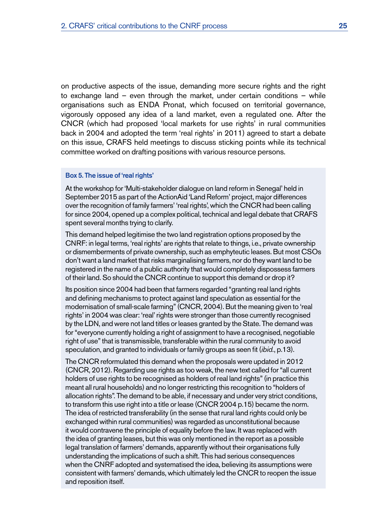<span id="page-32-0"></span>on productive aspects of the issue, demanding more secure rights and the right to exchange land – even through the market, under certain conditions – while organisations such as ENDA Pronat, which focused on territorial governance, vigorously opposed any idea of a land market, even a regulated one. After the CNCR (which had proposed 'local markets for use rights' in rural communities back in 2004 and adopted the term 'real rights' in 2011) agreed to start a debate on this issue, CRAFS held meetings to discuss sticking points while its technical committee worked on drafting positions with various resource persons.

#### Box 5. The issue of 'real rights'

At the workshop for 'Multi-stakeholder dialogue on land reform in Senegal' held in September 2015 as part of the ActionAid 'Land Reform' project, major differences over the recognition of family farmers' 'real rights', which the CNCR had been calling for since 2004, opened up a complex political, technical and legal debate that CRAFS spent several months trying to clarify.

This demand helped legitimise the two land registration options proposed by the CNRF: in legal terms, 'real rights' are rights that relate to things, i.e., private ownership or dismemberments of private ownership, such as emphyteutic leases. But most CSOs don't want a land market that risks marginalising farmers, nor do they want land to be registered in the name of a public authority that would completely dispossess farmers of their land. So should the CNCR continue to support this demand or drop it?

Its position since 2004 had been that farmers regarded "granting real land rights and defining mechanisms to protect against land speculation as essential for the modernisation of small-scale farming" (CNCR, 2004). But the meaning given to 'real rights' in 2004 was clear: 'real' rights were stronger than those currently recognised by the LDN, and were not land titles or leases granted by the State. The demand was for "everyone currently holding a right of assignment to have a recognised, negotiable right of use" that is transmissible, transferable within the rural community to avoid speculation, and granted to individuals or family groups as seen fit (*ibid.*, p.13).

The CNCR reformulated this demand when the proposals were updated in 2012 (CNCR, 2012). Regarding use rights as too weak, the new text called for "all current holders of use rights to be recognised as holders of real land rights" (in practice this meant all rural households) and no longer restricting this recognition to "holders of allocation rights". The demand to be able, if necessary and under very strict conditions, to transform this use right into a title or lease (CNCR 2004 p.15) became the norm. The idea of restricted transferability (in the sense that rural land rights could only be exchanged within rural communities) was regarded as unconstitutional because it would contravene the principle of equality before the law. It was replaced with the idea of granting leases, but this was only mentioned in the report as a possible legal translation of farmers' demands, apparently without their organisations fully understanding the implications of such a shift. This had serious consequences when the CNRF adopted and systematised the idea, believing its assumptions were consistent with farmers' demands, which ultimately led the CNCR to reopen the issue and reposition itself.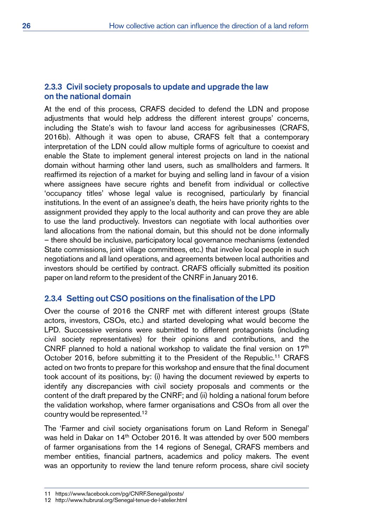## 2.3.3 Civil society proposals to update and upgrade the law on the national domain

At the end of this process, CRAFS decided to defend the LDN and propose adjustments that would help address the different interest groups' concerns, including the State's wish to favour land access for agribusinesses (CRAFS, 2016b). Although it was open to abuse, CRAFS felt that a contemporary interpretation of the LDN could allow multiple forms of agriculture to coexist and enable the State to implement general interest projects on land in the national domain without harming other land users, such as smallholders and farmers. It reaffirmed its rejection of a market for buying and selling land in favour of a vision where assignees have secure rights and benefit from individual or collective 'occupancy titles' whose legal value is recognised, particularly by financial institutions. In the event of an assignee's death, the heirs have priority rights to the assignment provided they apply to the local authority and can prove they are able to use the land productively. Investors can negotiate with local authorities over land allocations from the national domain, but this should not be done informally – there should be inclusive, participatory local governance mechanisms (extended State commissions, joint village committees, etc.) that involve local people in such negotiations and all land operations, and agreements between local authorities and investors should be certified by contract. CRAFS officially submitted its position paper on land reform to the president of the CNRF in January 2016.

# 2.3.4 Setting out CSO positions on the finalisation of the LPD

Over the course of 2016 the CNRF met with different interest groups (State actors, investors, CSOs, etc.) and started developing what would become the LPD. Successive versions were submitted to different protagonists (including civil society representatives) for their opinions and contributions, and the CNRF planned to hold a national workshop to validate the final version on  $17<sup>th</sup>$ October 2016, before submitting it to the President of the Republic.<sup>11</sup> CRAFS acted on two fronts to prepare for this workshop and ensure that the final document took account of its positions, by: (i) having the document reviewed by experts to identify any discrepancies with civil society proposals and comments or the content of the draft prepared by the CNRF; and (ii) holding a national forum before the validation workshop, where farmer organisations and CSOs from all over the country would be represented.<sup>12</sup>

The 'Farmer and civil society organisations forum on Land Reform in Senegal' was held in Dakar on 14<sup>th</sup> October 2016. It was attended by over 500 members of farmer organisations from the 14 regions of Senegal, CRAFS members and member entities, financial partners, academics and policy makers. The event was an opportunity to review the land tenure reform process, share civil society

<sup>11</sup> <https://www.facebook.com/pg/CNRF.Senegal/posts/>

<sup>12</sup> <http://www.hubrural.org/Senegal-tenue-de-l-atelier.html>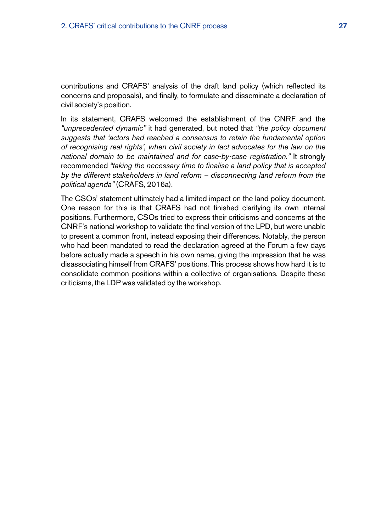contributions and CRAFS' analysis of the draft land policy (which reflected its concerns and proposals), and finally, to formulate and disseminate a declaration of civil society's position.

In its statement, CRAFS welcomed the establishment of the CNRF and the *"unprecedented dynamic"* it had generated, but noted that *"the policy document suggests that 'actors had reached a consensus to retain the fundamental option of recognising real rights', when civil society in fact advocates for the law on the national domain to be maintained and for case-by-case registration."* It strongly recommended *"taking the necessary time to finalise a land policy that is accepted by the different stakeholders in land reform – disconnecting land reform from the political agenda"* (CRAFS, 2016a).

The CSOs' statement ultimately had a limited impact on the land policy document. One reason for this is that CRAFS had not finished clarifying its own internal positions. Furthermore, CSOs tried to express their criticisms and concerns at the CNRF's national workshop to validate the final version of the LPD, but were unable to present a common front, instead exposing their differences. Notably, the person who had been mandated to read the declaration agreed at the Forum a few days before actually made a speech in his own name, giving the impression that he was disassociating himself from CRAFS' positions. This process shows how hard it is to consolidate common positions within a collective of organisations. Despite these criticisms, the LDP was validated by the workshop.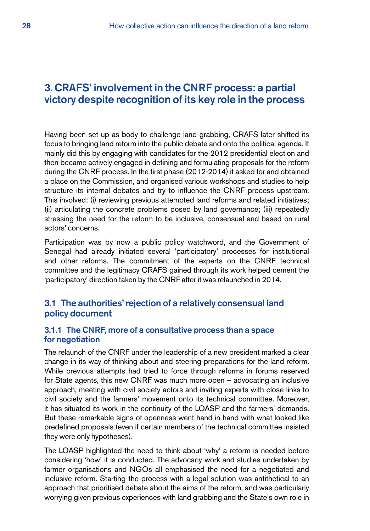# <span id="page-35-0"></span>3. CRAFS' involvement in the CNRF process: a partial victory despite recognition of its key role in the process

Having been set up as body to challenge land grabbing, CRAFS later shifted its focus to bringing land reform into the public debate and onto the political agenda. It mainly did this by engaging with candidates for the 2012 presidential election and then became actively engaged in defining and formulating proposals for the reform during the CNRF process. In the first phase (2012-2014) it asked for and obtained a place on the Commission, and organised various workshops and studies to help structure its internal debates and try to influence the CNRF process upstream. This involved: (i) reviewing previous attempted land reforms and related initiatives; (ii) articulating the concrete problems posed by land governance; (iii) repeatedly stressing the need for the reform to be inclusive, consensual and based on rural actors' concerns.

Participation was by now a public policy watchword, and the Government of Senegal had already initiated several 'participatory' processes for institutional and other reforms. The commitment of the experts on the CNRF technical committee and the legitimacy CRAFS gained through its work helped cement the 'participatory' direction taken by the CNRF after it was relaunched in 2014.

# 3.1 The authorities' rejection of a relatively consensual land policy document

## 3.1.1 The CNRF, more of a consultative process than a space for negotiation

The relaunch of the CNRF under the leadership of a new president marked a clear change in its way of thinking about and steering preparations for the land reform. While previous attempts had tried to force through reforms in forums reserved for State agents, this new CNRF was much more open – advocating an inclusive approach, meeting with civil society actors and inviting experts with close links to civil society and the farmers' movement onto its technical committee. Moreover, it has situated its work in the continuity of the LOASP and the farmers' demands. But these remarkable signs of openness went hand in hand with what looked like predefined proposals (even if certain members of the technical committee insisted they were only hypotheses).

The LOASP highlighted the need to think about 'why' a reform is needed before considering 'how' it is conducted. The advocacy work and studies undertaken by farmer organisations and NGOs all emphasised the need for a negotiated and inclusive reform. Starting the process with a legal solution was antithetical to an approach that prioritised debate about the aims of the reform, and was particularly worrying given previous experiences with land grabbing and the State's own role in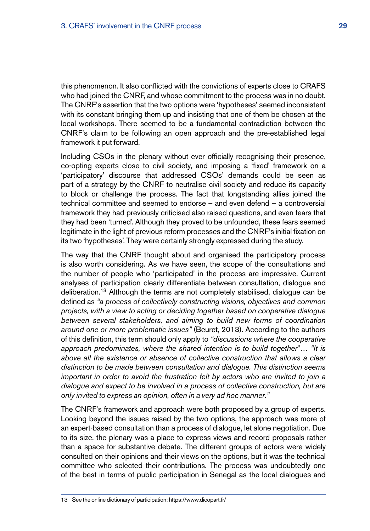this phenomenon. It also conflicted with the convictions of experts close to CRAFS who had joined the CNRF, and whose commitment to the process was in no doubt. The CNRF's assertion that the two options were 'hypotheses' seemed inconsistent with its constant bringing them up and insisting that one of them be chosen at the local workshops. There seemed to be a fundamental contradiction between the CNRF's claim to be following an open approach and the pre-established legal framework it put forward.

Including CSOs in the plenary without ever officially recognising their presence, co-opting experts close to civil society, and imposing a 'fixed' framework on a 'participatory' discourse that addressed CSOs' demands could be seen as part of a strategy by the CNRF to neutralise civil society and reduce its capacity to block or challenge the process. The fact that longstanding allies joined the technical committee and seemed to endorse – and even defend – a controversial framework they had previously criticised also raised questions, and even fears that they had been 'turned'. Although they proved to be unfounded, these fears seemed legitimate in the light of previous reform processes and the CNRF's initial fixation on its two 'hypotheses'. They were certainly strongly expressed during the study.

The way that the CNRF thought about and organised the participatory process is also worth considering. As we have seen, the scope of the consultations and the number of people who 'participated' in the process are impressive. Current analyses of participation clearly differentiate between consultation, dialogue and deliberation.13 Although the terms are not completely stabilised, dialogue can be defined as *"a process of collectively constructing visions, objectives and common projects, with a view to acting or deciding together based on cooperative dialogue between several stakeholders, and aiming to build new forms of coordination around one or more problematic issues"* (Beuret, 2013). According to the authors of this definition, this term should only apply to *"discussions where the cooperative approach predominates, where the shared intention is to build together*"… *"It is above all the existence or absence of collective construction that allows a clear distinction to be made between consultation and dialogue. This distinction seems important in order to avoid the frustration felt by actors who are invited to join a dialogue and expect to be involved in a process of collective construction, but are only invited to express an opinion, often in a very ad hoc manner*.*"* 

The CNRF's framework and approach were both proposed by a group of experts. Looking beyond the issues raised by the two options, the approach was more of an expert-based consultation than a process of dialogue, let alone negotiation. Due to its size, the plenary was a place to express views and record proposals rather than a space for substantive debate. The different groups of actors were widely consulted on their opinions and their views on the options, but it was the technical committee who selected their contributions. The process was undoubtedly one of the best in terms of public participation in Senegal as the local dialogues and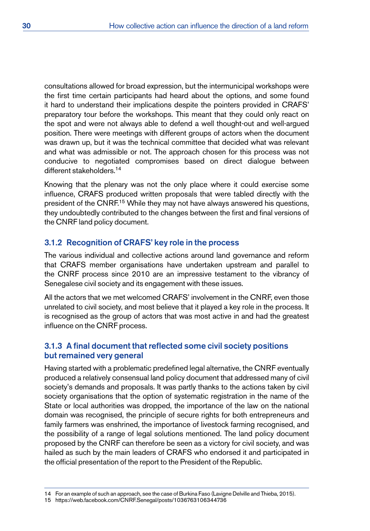consultations allowed for broad expression, but the intermunicipal workshops were the first time certain participants had heard about the options, and some found it hard to understand their implications despite the pointers provided in CRAFS' preparatory tour before the workshops. This meant that they could only react on the spot and were not always able to defend a well thought-out and well-argued position. There were meetings with different groups of actors when the document was drawn up, but it was the technical committee that decided what was relevant and what was admissible or not. The approach chosen for this process was not conducive to negotiated compromises based on direct dialogue between different stakeholders<sup>14</sup>

Knowing that the plenary was not the only place where it could exercise some influence, CRAFS produced written proposals that were tabled directly with the president of the CNRF.<sup>15</sup> While they may not have always answered his questions, they undoubtedly contributed to the changes between the first and final versions of the CNRF land policy document.

# 3.1.2 Recognition of CRAFS' key role in the process

The various individual and collective actions around land governance and reform that CRAFS member organisations have undertaken upstream and parallel to the CNRF process since 2010 are an impressive testament to the vibrancy of Senegalese civil society and its engagement with these issues.

All the actors that we met welcomed CRAFS' involvement in the CNRF, even those unrelated to civil society, and most believe that it played a key role in the process. It is recognised as the group of actors that was most active in and had the greatest influence on the CNRF process.

# 3.1.3 A final document that reflected some civil society positions but remained very general

Having started with a problematic predefined legal alternative, the CNRF eventually produced a relatively consensual land policy document that addressed many of civil society's demands and proposals. It was partly thanks to the actions taken by civil society organisations that the option of systematic registration in the name of the State or local authorities was dropped, the importance of the law on the national domain was recognised, the principle of secure rights for both entrepreneurs and family farmers was enshrined, the importance of livestock farming recognised, and the possibility of a range of legal solutions mentioned. The land policy document proposed by the CNRF can therefore be seen as a victory for civil society, and was hailed as such by the main leaders of CRAFS who endorsed it and participated in the official presentation of the report to the President of the Republic.

15 <https://web.facebook.com/CNRF.Senegal/posts/1036763106344736>

<sup>14</sup> For an example of such an approach, see the case of Burkina Faso (Lavigne Delville and Thieba, 2015).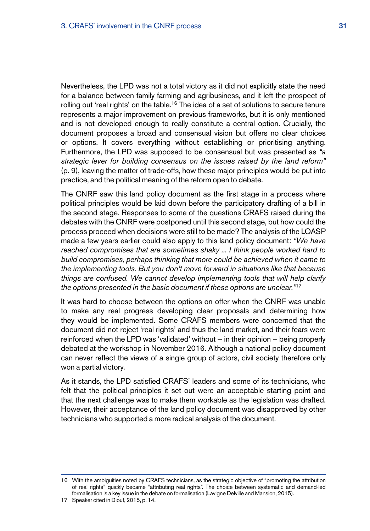Nevertheless, the LPD was not a total victory as it did not explicitly state the need for a balance between family farming and agribusiness, and it left the prospect of rolling out 'real rights' on the table.<sup>16</sup> The idea of a set of solutions to secure tenure represents a major improvement on previous frameworks, but it is only mentioned and is not developed enough to really constitute a central option. Crucially, the document proposes a broad and consensual vision but offers no clear choices or options. It covers everything without establishing or prioritising anything. Furthermore, the LPD was supposed to be consensual but was presented as *"a strategic lever for building consensus on the issues raised by the land reform"*  (p. 9), leaving the matter of trade-offs, how these major principles would be put into practice, and the political meaning of the reform open to debate.

The CNRF saw this land policy document as the first stage in a process where political principles would be laid down before the participatory drafting of a bill in the second stage. Responses to some of the questions CRAFS raised during the debates with the CNRF were postponed until this second stage, but how could the process proceed when decisions were still to be made? The analysis of the LOASP made a few years earlier could also apply to this land policy document: *"We have reached compromises that are sometimes shaky ... I think people worked hard to build compromises, perhaps thinking that more could be achieved when it came to the implementing tools. But you don't move forward in situations like that because things are confused. We cannot develop implementing tools that will help clarify the options presented in the basic document if these options are unclear."*<sup>17</sup>

It was hard to choose between the options on offer when the CNRF was unable to make any real progress developing clear proposals and determining how they would be implemented. Some CRAFS members were concerned that the document did not reject 'real rights' and thus the land market, and their fears were reinforced when the LPD was 'validated' without — in their opinion — being properly debated at the workshop in November 2016. Although a national policy document can never reflect the views of a single group of actors, civil society therefore only won a partial victory.

As it stands, the LPD satisfied CRAFS' leaders and some of its technicians, who felt that the political principles it set out were an acceptable starting point and that the next challenge was to make them workable as the legislation was drafted. However, their acceptance of the land policy document was disapproved by other technicians who supported a more radical analysis of the document.

<sup>16</sup> With the ambiguities noted by CRAFS technicians, as the strategic objective of "promoting the attribution of real rights" quickly became "attributing real rights". The choice between systematic and demand-led formalisation is a key issue in the debate on formalisation (Lavigne Delville and Mansion, 2015).

<sup>17</sup> Speaker cited in Diouf, 2015, p. 14.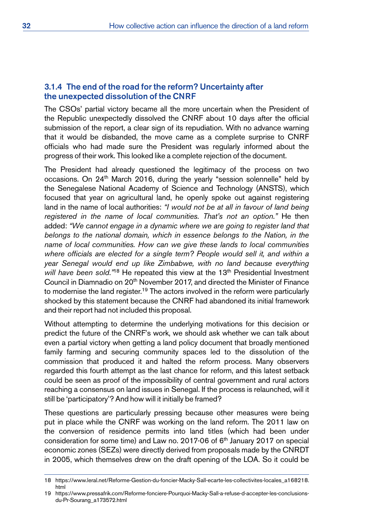#### 3.1.4 The end of the road for the reform? Uncertainty after the unexpected dissolution of the CNRF

The CSOs' partial victory became all the more uncertain when the President of the Republic unexpectedly dissolved the CNRF about 10 days after the official submission of the report, a clear sign of its repudiation. With no advance warning that it would be disbanded, the move came as a complete surprise to CNRF officials who had made sure the President was regularly informed about the progress of their work. This looked like a complete rejection of the document.

The President had already questioned the legitimacy of the process on two occasions. On 24<sup>th</sup> March 2016, during the yearly "session solennelle" held by the Senegalese National Academy of Science and Technology (ANSTS), which focused that year on agricultural land, he openly spoke out against registering land in the name of local authorities: *"I would not be at all in favour of land being registered in the name of local communities. That's not an option*.*"* He then added: *"We cannot engage in a dynamic where we are going to register land that belongs to the national domain, which in essence belongs to the Nation, in the name of local communities. How can we give these lands to local communities where officials are elected for a single term? People would sell it, and within a year Senegal would end up like Zimbabwe, with no land because everything will have been sold.*<sup>"18</sup> He repeated this view at the 13<sup>th</sup> Presidential Investment Council in Diamnadio on 20<sup>th</sup> November 2017, and directed the Minister of Finance to modernise the land register.<sup>19</sup> The actors involved in the reform were particularly shocked by this statement because the CNRF had abandoned its initial framework and their report had not included this proposal.

Without attempting to determine the underlying motivations for this decision or predict the future of the CNRF's work, we should ask whether we can talk about even a partial victory when getting a land policy document that broadly mentioned family farming and securing community spaces led to the dissolution of the commission that produced it and halted the reform process. Many observers regarded this fourth attempt as the last chance for reform, and this latest setback could be seen as proof of the impossibility of central government and rural actors reaching a consensus on land issues in Senegal. If the process is relaunched, will it still be 'participatory'? And how will it initially be framed?

These questions are particularly pressing because other measures were being put in place while the CNRF was working on the land reform. The 2011 law on the conversion of residence permits into land titles (which had been under consideration for some time) and Law no. 2017-06 of 6<sup>th</sup> January 2017 on special economic zones (SEZs) were directly derived from proposals made by the CNRDT in 2005, which themselves drew on the draft opening of the LOA. So it could be

<sup>18</sup> [https://www.leral.net/Reforme-Gestion-du-foncier-Macky-Sall-ecarte-les-collectivites-locales\\_a168218.](https://www.leral.net/Reforme-Gestion-du-foncier-Macky-Sall-ecarte-les-collectivites-locales_a168218.html) [html](https://www.leral.net/Reforme-Gestion-du-foncier-Macky-Sall-ecarte-les-collectivites-locales_a168218.html)

<sup>19</sup> [https://www.pressafrik.com/Reforme-fonciere-Pourquoi-Macky-Sall-a-refuse-d-accepter-les-conclusions](https://www.pressafrik.com/Reforme-fonciere-Pourquoi-Macky-Sall-a-refuse-d-accepter-les-conclusions-du-Pr-Sourang_a173572.html?print=1)[du-Pr-Sourang\\_a173572.html](https://www.pressafrik.com/Reforme-fonciere-Pourquoi-Macky-Sall-a-refuse-d-accepter-les-conclusions-du-Pr-Sourang_a173572.html?print=1)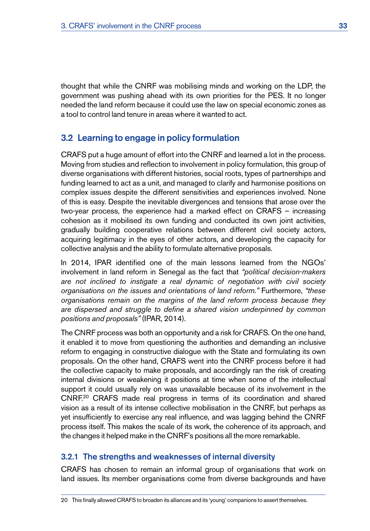<span id="page-40-0"></span>thought that while the CNRF was mobilising minds and working on the LDP, the government was pushing ahead with its own priorities for the PES. It no longer needed the land reform because it could use the law on special economic zones as a tool to control land tenure in areas where it wanted to act.

# 3.2 Learning to engage in policy formulation

CRAFS put a huge amount of effort into the CNRF and learned a lot in the process. Moving from studies and reflection to involvement in policy formulation, this group of diverse organisations with different histories, social roots, types of partnerships and funding learned to act as a unit, and managed to clarify and harmonise positions on complex issues despite the different sensitivities and experiences involved. None of this is easy. Despite the inevitable divergences and tensions that arose over the two-year process, the experience had a marked effect on CRAFS – increasing cohesion as it mobilised its own funding and conducted its own joint activities, gradually building cooperative relations between different civil society actors, acquiring legitimacy in the eyes of other actors, and developing the capacity for collective analysis and the ability to formulate alternative proposals.

In 2014, IPAR identified one of the main lessons learned from the NGOs' involvement in land reform in Senegal as the fact that *"political decision-makers are not inclined to instigate a real dynamic of negotiation with civil society organisations on the issues and orientations of land reform."* Furthermore, *"these organisations remain on the margins of the land reform process because they are dispersed and struggle to define a shared vision underpinned by common positions and proposals"* (IPAR, 2014)*.*

The CNRF process was both an opportunity and a risk for CRAFS. On the one hand, it enabled it to move from questioning the authorities and demanding an inclusive reform to engaging in constructive dialogue with the State and formulating its own proposals. On the other hand, CRAFS went into the CNRF process before it had the collective capacity to make proposals, and accordingly ran the risk of creating internal divisions or weakening it positions at time when some of the intellectual support it could usually rely on was unavailable because of its involvement in the CNRF.20 CRAFS made real progress in terms of its coordination and shared vision as a result of its intense collective mobilisation in the CNRF, but perhaps as yet insufficiently to exercise any real influence, and was lagging behind the CNRF process itself. This makes the scale of its work, the coherence of its approach, and the changes it helped make in the CNRF's positions all the more remarkable.

# 3.2.1 The strengths and weaknesses of internal diversity

CRAFS has chosen to remain an informal group of organisations that work on land issues. Its member organisations come from diverse backgrounds and have

<sup>20</sup> This finally allowed CRAFS to broaden its alliances and its 'young' companions to assert themselves.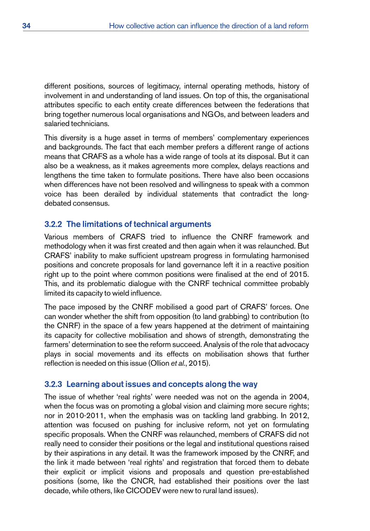different positions, sources of legitimacy, internal operating methods, history of involvement in and understanding of land issues. On top of this, the organisational attributes specific to each entity create differences between the federations that bring together numerous local organisations and NGOs, and between leaders and salaried technicians.

This diversity is a huge asset in terms of members' complementary experiences and backgrounds. The fact that each member prefers a different range of actions means that CRAFS as a whole has a wide range of tools at its disposal. But it can also be a weakness, as it makes agreements more complex, delays reactions and lengthens the time taken to formulate positions. There have also been occasions when differences have not been resolved and willingness to speak with a common voice has been derailed by individual statements that contradict the longdebated consensus.

# 3.2.2 The limitations of technical arguments

Various members of CRAFS tried to influence the CNRF framework and methodology when it was first created and then again when it was relaunched. But CRAFS' inability to make sufficient upstream progress in formulating harmonised positions and concrete proposals for land governance left it in a reactive position right up to the point where common positions were finalised at the end of 2015. This, and its problematic dialogue with the CNRF technical committee probably limited its capacity to wield influence.

The pace imposed by the CNRF mobilised a good part of CRAFS' forces. One can wonder whether the shift from opposition (to land grabbing) to contribution (to the CNRF) in the space of a few years happened at the detriment of maintaining its capacity for collective mobilisation and shows of strength, demonstrating the farmers' determination to see the reform succeed. Analysis of the role that advocacy plays in social movements and its effects on mobilisation shows that further reflection is needed on this issue (Ollion *et al.*, 2015).

#### 3.2.3 Learning about issues and concepts along the way

The issue of whether 'real rights' were needed was not on the agenda in 2004, when the focus was on promoting a global vision and claiming more secure rights; nor in 2010-2011, when the emphasis was on tackling land grabbing. In 2012, attention was focused on pushing for inclusive reform, not yet on formulating specific proposals. When the CNRF was relaunched, members of CRAFS did not really need to consider their positions or the legal and institutional questions raised by their aspirations in any detail. It was the framework imposed by the CNRF, and the link it made between 'real rights' and registration that forced them to debate their explicit or implicit visions and proposals and question pre-established positions (some, like the CNCR, had established their positions over the last decade, while others, like CICODEV were new to rural land issues).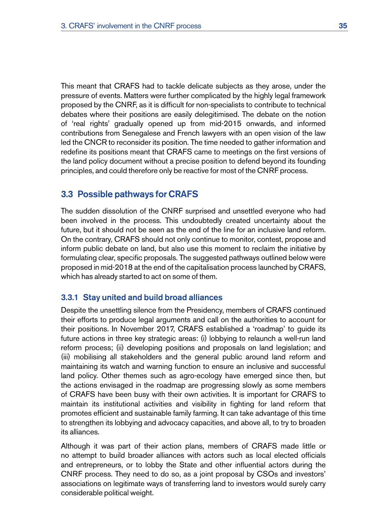<span id="page-42-0"></span>This meant that CRAFS had to tackle delicate subjects as they arose, under the pressure of events. Matters were further complicated by the highly legal framework proposed by the CNRF, as it is difficult for non-specialists to contribute to technical debates where their positions are easily delegitimised. The debate on the notion of 'real rights' gradually opened up from mid-2015 onwards, and informed contributions from Senegalese and French lawyers with an open vision of the law led the CNCR to reconsider its position. The time needed to gather information and redefine its positions meant that CRAFS came to meetings on the first versions of the land policy document without a precise position to defend beyond its founding principles, and could therefore only be reactive for most of the CNRF process.

# 3.3 Possible pathways for CRAFS

The sudden dissolution of the CNRF surprised and unsettled everyone who had been involved in the process. This undoubtedly created uncertainty about the future, but it should not be seen as the end of the line for an inclusive land reform. On the contrary, CRAFS should not only continue to monitor, contest, propose and inform public debate on land, but also use this moment to reclaim the initiative by formulating clear, specific proposals. The suggested pathways outlined below were proposed in mid-2018 at the end of the capitalisation process launched by CRAFS, which has already started to act on some of them.

#### 3.3.1 Stay united and build broad alliances

Despite the unsettling silence from the Presidency, members of CRAFS continued their efforts to produce legal arguments and call on the authorities to account for their positions. In November 2017, CRAFS established a 'roadmap' to guide its future actions in three key strategic areas: (i) lobbying to relaunch a well-run land reform process; (ii) developing positions and proposals on land legislation; and (iii) mobilising all stakeholders and the general public around land reform and maintaining its watch and warning function to ensure an inclusive and successful land policy. Other themes such as agro-ecology have emerged since then, but the actions envisaged in the roadmap are progressing slowly as some members of CRAFS have been busy with their own activities. It is important for CRAFS to maintain its institutional activities and visibility in fighting for land reform that promotes efficient and sustainable family farming. It can take advantage of this time to strengthen its lobbying and advocacy capacities, and above all, to try to broaden its alliances.

Although it was part of their action plans, members of CRAFS made little or no attempt to build broader alliances with actors such as local elected officials and entrepreneurs, or to lobby the State and other influential actors during the CNRF process. They need to do so, as a joint proposal by CSOs and investors' associations on legitimate ways of transferring land to investors would surely carry considerable political weight.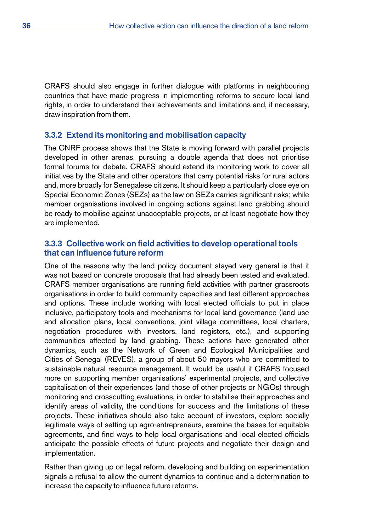CRAFS should also engage in further dialogue with platforms in neighbouring countries that have made progress in implementing reforms to secure local land rights, in order to understand their achievements and limitations and, if necessary, draw inspiration from them.

#### 3.3.2 Extend its monitoring and mobilisation capacity

The CNRF process shows that the State is moving forward with parallel projects developed in other arenas, pursuing a double agenda that does not prioritise formal forums for debate. CRAFS should extend its monitoring work to cover all initiatives by the State and other operators that carry potential risks for rural actors and, more broadly for Senegalese citizens. It should keep a particularly close eye on Special Economic Zones (SEZs) as the law on SEZs carries significant risks; while member organisations involved in ongoing actions against land grabbing should be ready to mobilise against unacceptable projects, or at least negotiate how they are implemented.

## 3.3.3 Collective work on field activities to develop operational tools that can influence future reform

One of the reasons why the land policy document stayed very general is that it was not based on concrete proposals that had already been tested and evaluated. CRAFS member organisations are running field activities with partner grassroots organisations in order to build community capacities and test different approaches and options. These include working with local elected officials to put in place inclusive, participatory tools and mechanisms for local land governance (land use and allocation plans, local conventions, joint village committees, local charters, negotiation procedures with investors, land registers, etc.), and supporting communities affected by land grabbing. These actions have generated other dynamics, such as the Network of Green and Ecological Municipalities and Cities of Senegal (REVES), a group of about 50 mayors who are committed to sustainable natural resource management. It would be useful if CRAFS focused more on supporting member organisations' experimental projects, and collective capitalisation of their experiences (and those of other projects or NGOs) through monitoring and crosscutting evaluations, in order to stabilise their approaches and identify areas of validity, the conditions for success and the limitations of these projects. These initiatives should also take account of investors, explore socially legitimate ways of setting up agro-entrepreneurs, examine the bases for equitable agreements, and find ways to help local organisations and local elected officials anticipate the possible effects of future projects and negotiate their design and implementation.

Rather than giving up on legal reform, developing and building on experimentation signals a refusal to allow the current dynamics to continue and a determination to increase the capacity to influence future reforms.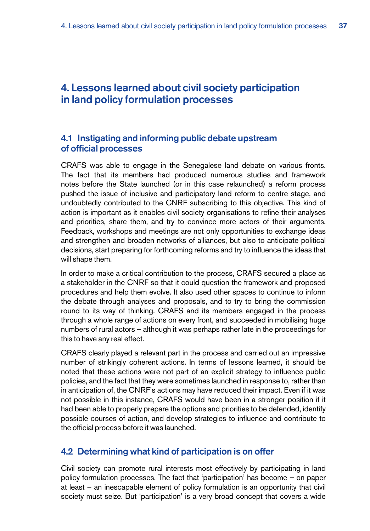# <span id="page-44-0"></span>4. Lessons learned about civil society participation in land policy formulation processes

# 4.1 Instigating and informing public debate upstream of official processes

CRAFS was able to engage in the Senegalese land debate on various fronts. The fact that its members had produced numerous studies and framework notes before the State launched (or in this case relaunched) a reform process pushed the issue of inclusive and participatory land reform to centre stage, and undoubtedly contributed to the CNRF subscribing to this objective. This kind of action is important as it enables civil society organisations to refine their analyses and priorities, share them, and try to convince more actors of their arguments. Feedback, workshops and meetings are not only opportunities to exchange ideas and strengthen and broaden networks of alliances, but also to anticipate political decisions, start preparing for forthcoming reforms and try to influence the ideas that will shape them.

In order to make a critical contribution to the process, CRAFS secured a place as a stakeholder in the CNRF so that it could question the framework and proposed procedures and help them evolve. It also used other spaces to continue to inform the debate through analyses and proposals, and to try to bring the commission round to its way of thinking. CRAFS and its members engaged in the process through a whole range of actions on every front, and succeeded in mobilising huge numbers of rural actors – although it was perhaps rather late in the proceedings for this to have any real effect.

CRAFS clearly played a relevant part in the process and carried out an impressive number of strikingly coherent actions. In terms of lessons learned, it should be noted that these actions were not part of an explicit strategy to influence public policies, and the fact that they were sometimes launched in response to, rather than in anticipation of, the CNRF's actions may have reduced their impact. Even if it was not possible in this instance, CRAFS would have been in a stronger position if it had been able to properly prepare the options and priorities to be defended, identify possible courses of action, and develop strategies to influence and contribute to the official process before it was launched.

# 4.2 Determining what kind of participation is on offer

Civil society can promote rural interests most effectively by participating in land policy formulation processes. The fact that 'participation' has become – on paper at least – an inescapable element of policy formulation is an opportunity that civil society must seize. But 'participation' is a very broad concept that covers a wide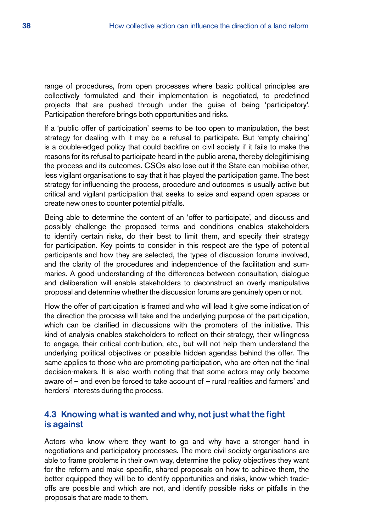<span id="page-45-0"></span>range of procedures, from open processes where basic political principles are collectively formulated and their implementation is negotiated, to predefined projects that are pushed through under the guise of being 'participatory'. Participation therefore brings both opportunities and risks.

If a 'public offer of participation' seems to be too open to manipulation, the best strategy for dealing with it may be a refusal to participate. But 'empty chairing' is a double-edged policy that could backfire on civil society if it fails to make the reasons for its refusal to participate heard in the public arena, thereby delegitimising the process and its outcomes. CSOs also lose out if the State can mobilise other, less vigilant organisations to say that it has played the participation game. The best strategy for influencing the process, procedure and outcomes is usually active but critical and vigilant participation that seeks to seize and expand open spaces or create new ones to counter potential pitfalls.

Being able to determine the content of an 'offer to participate', and discuss and possibly challenge the proposed terms and conditions enables stakeholders to identify certain risks, do their best to limit them, and specify their strategy for participation. Key points to consider in this respect are the type of potential participants and how they are selected, the types of discussion forums involved, and the clarity of the procedures and independence of the facilitation and summaries. A good understanding of the differences between consultation, dialogue and deliberation will enable stakeholders to deconstruct an overly manipulative proposal and determine whether the discussion forums are genuinely open or not.

How the offer of participation is framed and who will lead it give some indication of the direction the process will take and the underlying purpose of the participation, which can be clarified in discussions with the promoters of the initiative. This kind of analysis enables stakeholders to reflect on their strategy, their willingness to engage, their critical contribution, etc., but will not help them understand the underlying political objectives or possible hidden agendas behind the offer. The same applies to those who are promoting participation, who are often not the final decision-makers. It is also worth noting that that some actors may only become aware of – and even be forced to take account of – rural realities and farmers' and herders' interests during the process.

# 4.3 Knowing what is wanted and why, not just what the fight is against

Actors who know where they want to go and why have a stronger hand in negotiations and participatory processes. The more civil society organisations are able to frame problems in their own way, determine the policy objectives they want for the reform and make specific, shared proposals on how to achieve them, the better equipped they will be to identify opportunities and risks, know which tradeoffs are possible and which are not, and identify possible risks or pitfalls in the proposals that are made to them.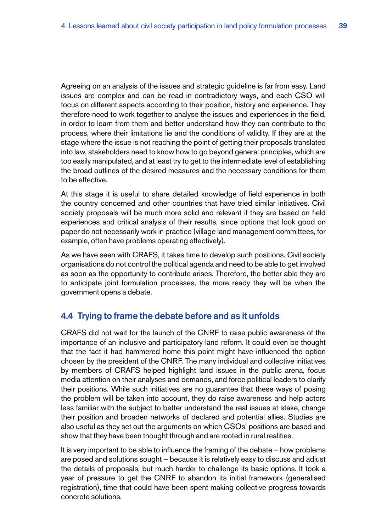<span id="page-46-0"></span>Agreeing on an analysis of the issues and strategic guideline is far from easy. Land issues are complex and can be read in contradictory ways, and each CSO will focus on different aspects according to their position, history and experience. They therefore need to work together to analyse the issues and experiences in the field, in order to learn from them and better understand how they can contribute to the process, where their limitations lie and the conditions of validity. If they are at the stage where the issue is not reaching the point of getting their proposals translated into law, stakeholders need to know how to go beyond general principles, which are too easily manipulated, and at least try to get to the intermediate level of establishing the broad outlines of the desired measures and the necessary conditions for them to be effective.

At this stage it is useful to share detailed knowledge of field experience in both the country concerned and other countries that have tried similar initiatives. Civil society proposals will be much more solid and relevant if they are based on field experiences and critical analysis of their results, since options that look good on paper do not necessarily work in practice (village land management committees, for example, often have problems operating effectively).

As we have seen with CRAFS, it takes time to develop such positions. Civil society organisations do not control the political agenda and need to be able to get involved as soon as the opportunity to contribute arises. Therefore, the better able they are to anticipate joint formulation processes, the more ready they will be when the government opens a debate.

# 4.4 Trying to frame the debate before and as it unfolds

CRAFS did not wait for the launch of the CNRF to raise public awareness of the importance of an inclusive and participatory land reform. It could even be thought that the fact it had hammered home this point might have influenced the option chosen by the president of the CNRF. The many individual and collective initiatives by members of CRAFS helped highlight land issues in the public arena, focus media attention on their analyses and demands, and force political leaders to clarify their positions. While such initiatives are no guarantee that these ways of posing the problem will be taken into account, they do raise awareness and help actors less familiar with the subject to better understand the real issues at stake, change their position and broaden networks of declared and potential allies. Studies are also useful as they set out the arguments on which CSOs' positions are based and show that they have been thought through and are rooted in rural realities.

It is very important to be able to influence the framing of the debate – how problems are posed and solutions sought – because it is relatively easy to discuss and adjust the details of proposals, but much harder to challenge its basic options. It took a year of pressure to get the CNRF to abandon its initial framework (generalised registration), time that could have been spent making collective progress towards concrete solutions.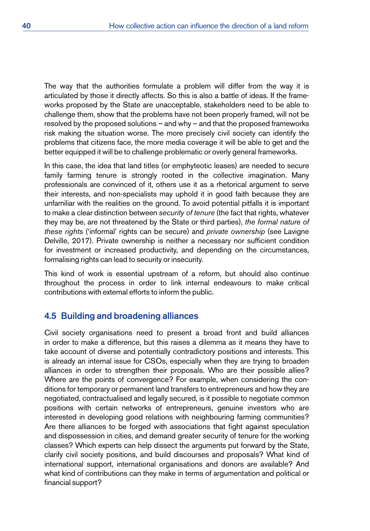<span id="page-47-0"></span>The way that the authorities formulate a problem will differ from the way it is articulated by those it directly affects. So this is also a battle of ideas. If the frameworks proposed by the State are unacceptable, stakeholders need to be able to challenge them, show that the problems have not been properly framed, will not be resolved by the proposed solutions – and why – and that the proposed frameworks risk making the situation worse. The more precisely civil society can identify the problems that citizens face, the more media coverage it will be able to get and the better equipped it will be to challenge problematic or overly general frameworks.

In this case, the idea that land titles (or emphyteotic leases) are needed to secure family farming tenure is strongly rooted in the collective imagination. Many professionals are convinced of it, others use it as a rhetorical argument to serve their interests, and non-specialists may uphold it in good faith because they are unfamiliar with the realities on the ground. To avoid potential pitfalls it is important to make a clear distinction between *security of tenure* (the fact that rights, whatever they may be, are not threatened by the State or third parties), *the formal nature of these rights* ('informal' rights can be secure) and *private ownership* (see Lavigne Delville, 2017). Private ownership is neither a necessary nor sufficient condition for investment or increased productivity, and depending on the circumstances, formalising rights can lead to security or insecurity.

This kind of work is essential upstream of a reform, but should also continue throughout the process in order to link internal endeavours to make critical contributions with external efforts to inform the public.

## 4.5 Building and broadening alliances

Civil society organisations need to present a broad front and build alliances in order to make a difference, but this raises a dilemma as it means they have to take account of diverse and potentially contradictory positions and interests. This is already an internal issue for CSOs, especially when they are trying to broaden alliances in order to strengthen their proposals. Who are their possible allies? Where are the points of convergence? For example, when considering the conditions for temporary or permanent land transfers to entrepreneurs and how they are negotiated, contractualised and legally secured, is it possible to negotiate common positions with certain networks of entrepreneurs, genuine investors who are interested in developing good relations with neighbouring farming communities? Are there alliances to be forged with associations that fight against speculation and dispossession in cities, and demand greater security of tenure for the working classes? Which experts can help dissect the arguments put forward by the State, clarify civil society positions, and build discourses and proposals? What kind of international support, international organisations and donors are available? And what kind of contributions can they make in terms of argumentation and political or financial support?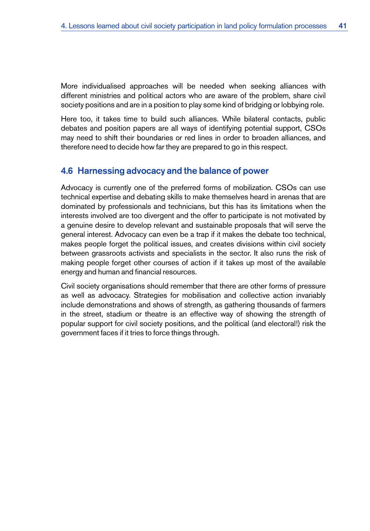<span id="page-48-0"></span>More individualised approaches will be needed when seeking alliances with different ministries and political actors who are aware of the problem, share civil society positions and are in a position to play some kind of bridging or lobbying role.

Here too, it takes time to build such alliances. While bilateral contacts, public debates and position papers are all ways of identifying potential support, CSOs may need to shift their boundaries or red lines in order to broaden alliances, and therefore need to decide how far they are prepared to go in this respect.

# 4.6 Harnessing advocacy and the balance of power

Advocacy is currently one of the preferred forms of mobilization. CSOs can use technical expertise and debating skills to make themselves heard in arenas that are dominated by professionals and technicians, but this has its limitations when the interests involved are too divergent and the offer to participate is not motivated by a genuine desire to develop relevant and sustainable proposals that will serve the general interest. Advocacy can even be a trap if it makes the debate too technical, makes people forget the political issues, and creates divisions within civil society between grassroots activists and specialists in the sector. It also runs the risk of making people forget other courses of action if it takes up most of the available energy and human and financial resources.

Civil society organisations should remember that there are other forms of pressure as well as advocacy. Strategies for mobilisation and collective action invariably include demonstrations and shows of strength, as gathering thousands of farmers in the street, stadium or theatre is an effective way of showing the strength of popular support for civil society positions, and the political (and electoral!) risk the government faces if it tries to force things through.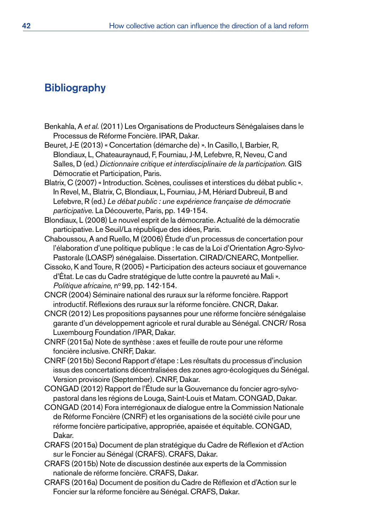# <span id="page-49-0"></span>**Bibliography**

Benkahla, A *et al.* (2011) Les Organisations de Producteurs Sénégalaises dans le Processus de Réforme Foncière. IPAR, Dakar.

Beuret, J-E (2013) « Concertation (démarche de)». In Casillo, I, Barbier, R, Blondiaux, L, Chateauraynaud, F, Fourniau, J-M, Lefebvre, R, Neveu, C and Salles, D (ed.) *Dictionnaire critique et interdisciplinaire de la participation.* GIS Démocratie et Participation, Paris.

- Blatrix, C (2007) «Introduction. Scènes, coulisses et interstices du débat public ». In Revel, M., Blatrix, C, Blondiaux, L, Fourniau, J-M, Hériard Dubreuil, B and Lefebvre, R (ed.) *Le débat public : une expérience française de démocratie participative.* La Découverte, Paris, pp. 149-154.
- Blondiaux, L (2008) Le nouvel esprit de la démocratie. Actualité de la démocratie participative. Le Seuil/La république des idées, Paris.
- Chaboussou, A and Ruello, M (2006) Étude d'un processus de concertation pour l'élaboration d'une politique publique : le cas de la Loi d'Orientation Agro-Sylvo-Pastorale (LOASP) sénégalaise. Dissertation. CIRAD/CNEARC, Montpellier.
- Cissoko, K and Toure, R (2005) « Participation des acteurs sociaux et gouvernance d'État. Le cas du Cadre stratégique de lutte contre la pauvreté au Mali». *Politique africaine,* nº99, pp. 142-154.
- CNCR (2004) Séminaire national des ruraux sur la réforme foncière. Rapport introductif. Réflexions des ruraux sur la réforme foncière. CNCR, Dakar.
- CNCR (2012) Les propositions paysannes pour une réforme foncière sénégalaise garante d'un développement agricole et rural durable au Sénégal. CNCR/ Rosa Luxembourg Foundation /IPAR, Dakar.
- CNRF (2015a) Note de synthèse : axes et feuille de route pour une réforme foncière inclusive. CNRF, Dakar.
- CNRF (2015b) Second Rapport d'étape : Les résultats du processus d'inclusion issus des concertations décentralisées des zones agro-écologiques du Sénégal. Version provisoire (September). CNRF, Dakar.
- CONGAD (2012) Rapport de l'Étude sur la Gouvernance du foncier agro-sylvopastoral dans les régions de Louga, Saint-Louis et Matam. CONGAD, Dakar.
- CONGAD (2014) Fora interrégionaux de dialogue entre la Commission Nationale de Réforme Foncière (CNRF) et les organisations de la société civile pour une réforme foncière participative, appropriée, apaisée et équitable. CONGAD, Dakar.
- CRAFS (2015a) Document de plan stratégique du Cadre de Réflexion et d'Action sur le Foncier au Sénégal (CRAFS). CRAFS, Dakar.
- CRAFS (2015b) Note de discussion destinée aux experts de la Commission nationale de réforme foncière. CRAFS, Dakar.
- CRAFS (2016a) Document de position du Cadre de Réflexion et d'Action sur le Foncier sur la réforme foncière au Sénégal. CRAFS, Dakar.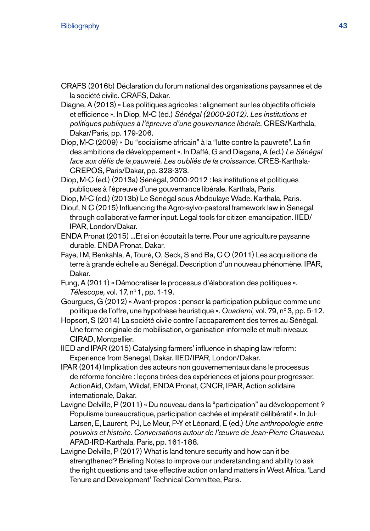- CRAFS (2016b) Déclaration du forum national des organisations paysannes et de la société civile. CRAFS, Dakar.
- Diagne, A (2013) « Les politiques agricoles : alignement sur les objectifs officiels et efficience ». In Diop, M-C (éd.) *Sénégal (2000-2012). Les institutions et politiques publiques à l'épreuve d'une gouvernance libérale.* CRES/Karthala, Dakar/Paris, pp. 179-206.
- Diop, M-C (2009) « Du "socialisme africain" à la "lutte contre la pauvreté". La fin des ambitions de développement». In Daffé, G and Diagana, A (ed.) *Le Sénégal face aux défis de la pauvreté. Les oubliés de la croissance.* CRES-Karthala-CREPOS, Paris/Dakar, pp. 323-373.
- Diop, M-C (ed.) (2013a) Sénégal, 2000-2012 : les institutions et politiques publiques à l'épreuve d'une gouvernance libérale. Karthala, Paris.
- Diop, M-C (ed.) (2013b) Le Sénégal sous Abdoulaye Wade. Karthala, Paris.
- Diouf, N C (2015) Influencing the Agro-sylvo-pastoral framework law in Senegal through collaborative farmer input. Legal tools for citizen emancipation. IIED/ IPAR, London/Dakar.
- ENDA Pronat (2015) ...Et si on écoutait la terre. Pour une agriculture paysanne durable. ENDA Pronat, Dakar.
- Faye, I M, Benkahla, A, Touré, O, Seck, S and Ba, C O (2011) Les acquisitions de terre à grande échelle au Sénégal. Description d'un nouveau phénomène. IPAR, Dakar.
- Fung, A (2011) « Démocratiser le processus d'élaboration des politiques ». *Télescope,* vol. 17, nº 1, pp. 1-19.
- Gourgues, G (2012) « Avant-propos : penser la participation publique comme une politique de l'offre, une hypothèse heuristique ». *Quaderni*, vol. 79, n° 3, pp. 5-12.
- Hopsort, S (2014) La société civile contre l'accaparement des terres au Sénégal. Une forme originale de mobilisation, organisation informelle et multi niveaux. CIRAD, Montpellier.
- IIED and IPAR (2015) Catalysing farmers' influence in shaping law reform: Experience from Senegal, Dakar. IIED/IPAR, London/Dakar.
- IPAR (2014) Implication des acteurs non gouvernementaux dans le processus de réforme foncière : leçons tirées des expériences et jalons pour progresser. ActionAid, Oxfam, Wildaf, ENDA Pronat, CNCR, IPAR, Action solidaire internationale, Dakar.
- Lavigne Delville, P (2011) « Du nouveau dans la "participation" au développement ? Populisme bureaucratique, participation cachée et impératif délibératif». In Jul-Larsen, E, Laurent, P-J, Le Meur, P-Y et Léonard, E (ed.) *Une anthropologie entre pouvoirs et histoire. Conversations autour de l'œuvre de Jean-Pierre Chauveau.* APAD-IRD-Karthala, Paris, pp. 161-188.
- Lavigne Delville, P (2017) What is land tenure security and how can it be strengthened? Briefing Notes to improve our understanding and ability to ask the right questions and take effective action on land matters in West Africa. 'Land Tenure and Development' Technical Committee, Paris.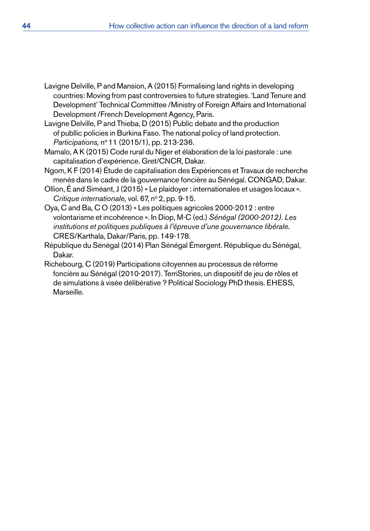- Lavigne Delville, P and Mansion, A (2015) Formalising land rights in developing countries: Moving from past controversies to future strategies. 'Land Tenure and Development' Technical Committee /Ministry of Foreign Affairs and International Development /French Development Agency, Paris.
- Lavigne Delville, P and Thieba, D (2015) Public debate and the production of publlic policies in Burkina Faso. The national policy of land protection. *Participations, nº* 11 (2015/1), pp. 213-236.
- Mamalo, A K (2015) Code rural du Niger et élaboration de la loi pastorale : une capitalisation d'expérience. Gret/CNCR, Dakar.
- Ngom, K F (2014) Étude de capitalisation des Expériences et Travaux de recherche menés dans le cadre de la gouvernance foncière au Sénégal. CONGAD, Dakar.
- Ollion, É and Siméant, J (2015) « Le plaidoyer : internationales et usages locaux». *Critique internationale, vol.* 67, nº 2, pp. 9-15.
- Oya, C and Ba, C O (2013) « Les politiques agricoles 2000-2012 : entre volontarisme et incohérence ». In Diop, M-C (ed.) *Sénégal (2000-2012). Les institutions et politiques publiques à l'épreuve d'une gouvernance libérale*. CRES/Karthala, Dakar/Paris, pp. 149-178.
- République du Sénégal (2014) Plan Sénégal Émergent. République du Sénégal, Dakar.
- Richebourg, C (2019) Participations citoyennes au processus de réforme foncière au Sénégal (2010-2017). TerriStories, un dispositif de jeu de rôles et de simulations à visée délibérative ? Political Sociology PhD thesis. EHESS, Marseille.